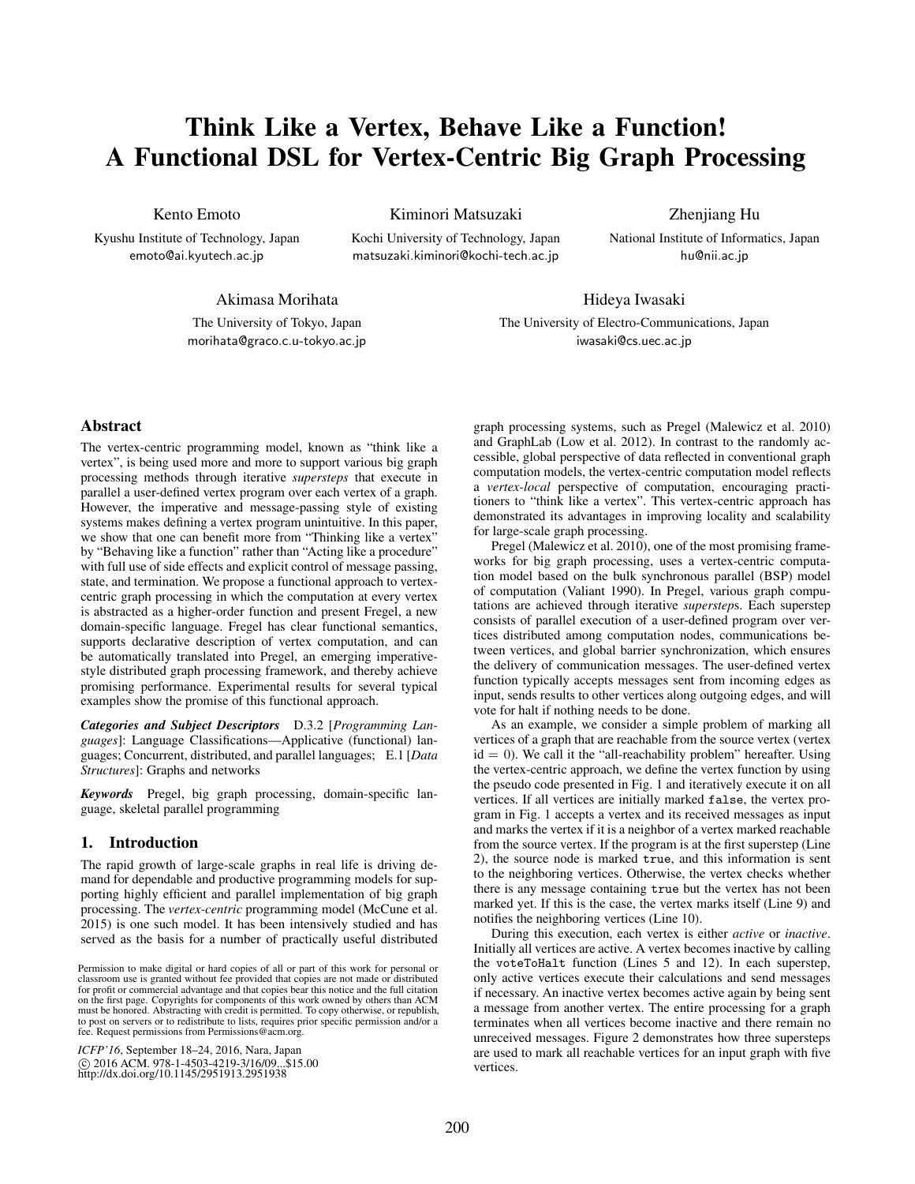# Think Like a Vertex, Behave Like a Function! A Functional DSL for Vertex-Centric Big Graph Processing

Kento Emoto

Kyushu Institute of Technology, Japan emoto@ai.kyutech.ac.jp

Kiminori Matsuzaki

Kochi University of Technology, Japan matsuzaki.kiminori@kochi-tech.ac.jp

Zhenjiang Hu

National Institute of Informatics, Japan hu@nii.ac.jp

Akimasa Morihata

The University of Tokyo, Japan morihata@graco.c.u-tokyo.ac.jp The University of Electro-Communications, Japan iwasaki@cs.uec.ac.jp

Hideya Iwasaki

# Abstract

The vertex-centric programming model, known as "think like a vertex", is being used more and more to support various big graph processing methods through iterative *supersteps* that execute in parallel a user-defined vertex program over each vertex of a graph. However, the imperative and message-passing style of existing systems makes defining a vertex program unintuitive. In this paper, we show that one can benefit more from "Thinking like a vertex" by "Behaving like a function" rather than "Acting like a procedure" with full use of side effects and explicit control of message passing, state, and termination. We propose a functional approach to vertexcentric graph processing in which the computation at every vertex is abstracted as a higher-order function and present Fregel, a new domain-specific language. Fregel has clear functional semantics, supports declarative description of vertex computation, and can be automatically translated into Pregel, an emerging imperativestyle distributed graph processing framework, and thereby achieve promising performance. Experimental results for several typical examples show the promise of this functional approach.

*Categories and Subject Descriptors* D.3.2 [*Programming Languages*]: Language Classifications—Applicative (functional) languages; Concurrent, distributed, and parallel languages; E.1 [*Data Structures*]: Graphs and networks

*Keywords* Pregel, big graph processing, domain-specific language, skeletal parallel programming

## 1. Introduction

The rapid growth of large-scale graphs in real life is driving demand for dependable and productive programming models for supporting highly efficient and parallel implementation of big graph processing. The *vertex-centric* programming model (McCune et al. 2015) is one such model. It has been intensively studied and has served as the basis for a number of practically useful distributed

*ICFP'16*, September 18–24, 2016, Nara, Japan c 2016 ACM. 978-1-4503-4219-3/16/09...\$15.00 http://dx.doi.org/10.1145/2951913.2951938

graph processing systems, such as Pregel (Malewicz et al. 2010) and GraphLab (Low et al. 2012). In contrast to the randomly accessible, global perspective of data reflected in conventional graph computation models, the vertex-centric computation model reflects a *vertex-local* perspective of computation, encouraging practitioners to "think like a vertex". This vertex-centric approach has demonstrated its advantages in improving locality and scalability for large-scale graph processing.

Pregel (Malewicz et al. 2010), one of the most promising frameworks for big graph processing, uses a vertex-centric computation model based on the bulk synchronous parallel (BSP) model of computation (Valiant 1990). In Pregel, various graph computations are achieved through iterative *superstep*s. Each superstep consists of parallel execution of a user-defined program over vertices distributed among computation nodes, communications between vertices, and global barrier synchronization, which ensures the delivery of communication messages. The user-defined vertex function typically accepts messages sent from incoming edges as input, sends results to other vertices along outgoing edges, and will vote for halt if nothing needs to be done.

As an example, we consider a simple problem of marking all vertices of a graph that are reachable from the source vertex (vertex  $id = 0$ ). We call it the "all-reachability problem" hereafter. Using the vertex-centric approach, we define the vertex function by using the pseudo code presented in Fig. 1 and iteratively execute it on all vertices. If all vertices are initially marked false, the vertex program in Fig. 1 accepts a vertex and its received messages as input and marks the vertex if it is a neighbor of a vertex marked reachable from the source vertex. If the program is at the first superstep (Line 2), the source node is marked true, and this information is sent to the neighboring vertices. Otherwise, the vertex checks whether there is any message containing true but the vertex has not been marked yet. If this is the case, the vertex marks itself (Line 9) and notifies the neighboring vertices (Line 10).

During this execution, each vertex is either *active* or *inactive*. Initially all vertices are active. A vertex becomes inactive by calling the voteToHalt function (Lines 5 and 12). In each superstep, only active vertices execute their calculations and send messages if necessary. An inactive vertex becomes active again by being sent a message from another vertex. The entire processing for a graph terminates when all vertices become inactive and there remain no unreceived messages. Figure 2 demonstrates how three supersteps are used to mark all reachable vertices for an input graph with five vertices.

Permission to make digital or hard copies of all or part of this work for personal or classroom use is granted without fee provided that copies are not made or distributed for profit or commercial advantage and that copies bear this notice and the full citation on the first page. Copyrights for components of this work owned by others than ACM must be honored. Abstracting with credit is permitted. To copy otherwise, or republish, to post on servers or to redistribute to lists, requires prior specific permission and/or a fee. Request permissions from Permissions@acm.org.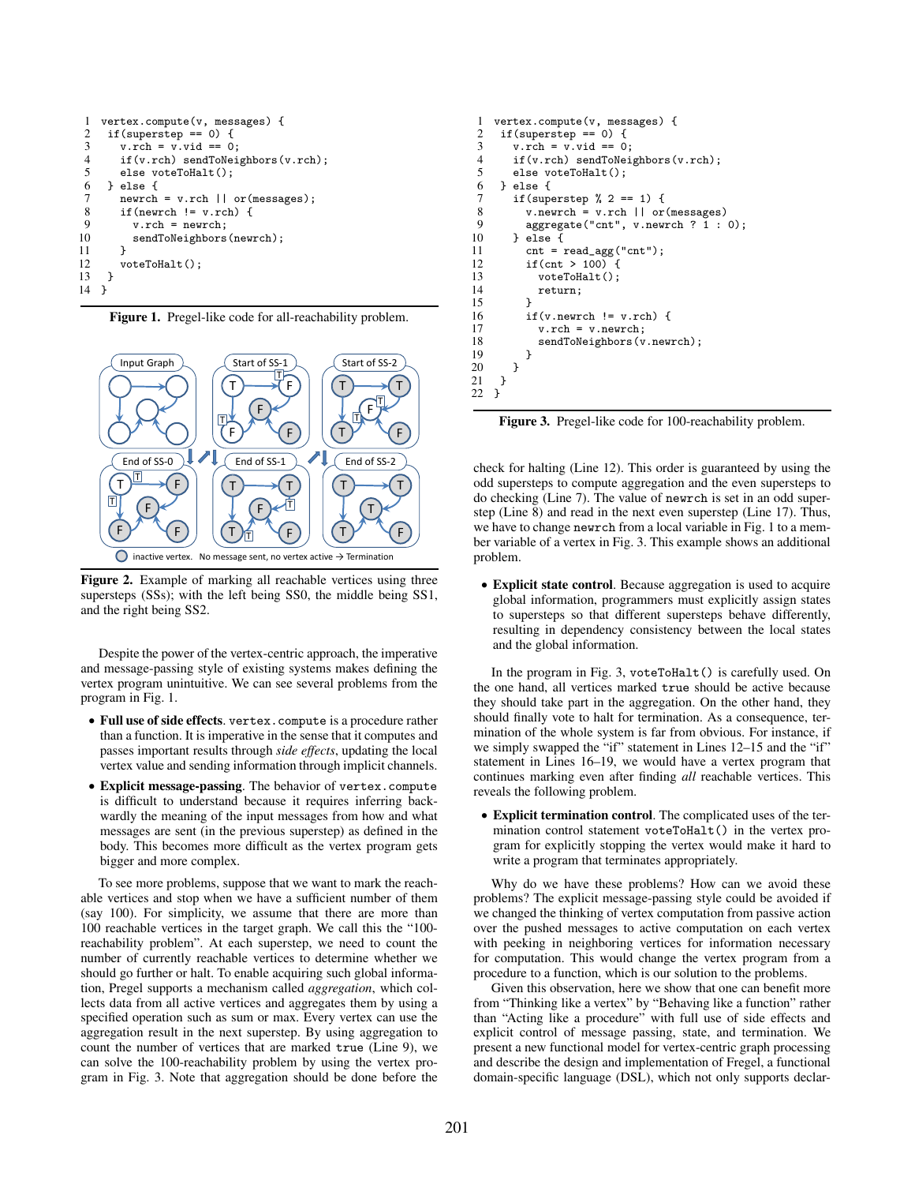```
1 vertex.compute(v, messages) {
 2 if(superstep == 0) {<br>3 v rch = v vid == 0
        v.rch = v.vid == 0;
4 if(v.rch) sendToNeighbors(v.rch);
 5 else voteToHalt();<br>6 } else {
      6 } else {
7 newrch = v.rch || or(messages);<br>8 if(newrch I = v rch) {
8 if(newrch != v.rch) {<br>9 v.rch = newrch;
9 v.rch = newrch;<br>10 sendToNeighbors
        sendToNeighbors(newrch);
11 }
12 \t\t voteToHalf();\mathcal{F}14 }
```
Figure 1. Pregel-like code for all-reachability problem.



Figure 2. Example of marking all reachable vertices using three supersteps (SSs); with the left being SS0, the middle being SS1, and the right being SS2.

Despite the power of the vertex-centric approach, the imperative and message-passing style of existing systems makes defining the vertex program unintuitive. We can see several problems from the program in Fig. 1.

- Full use of side effects. vertex.compute is a procedure rather than a function. It is imperative in the sense that it computes and passes important results through *side effects*, updating the local vertex value and sending information through implicit channels.
- Explicit message-passing. The behavior of vertex.compute is difficult to understand because it requires inferring backwardly the meaning of the input messages from how and what messages are sent (in the previous superstep) as defined in the body. This becomes more difficult as the vertex program gets bigger and more complex.

To see more problems, suppose that we want to mark the reachable vertices and stop when we have a sufficient number of them (say 100). For simplicity, we assume that there are more than 100 reachable vertices in the target graph. We call this the "100 reachability problem". At each superstep, we need to count the number of currently reachable vertices to determine whether we should go further or halt. To enable acquiring such global information, Pregel supports a mechanism called *aggregation*, which collects data from all active vertices and aggregates them by using a specified operation such as sum or max. Every vertex can use the aggregation result in the next superstep. By using aggregation to count the number of vertices that are marked true (Line 9), we can solve the 100-reachability problem by using the vertex program in Fig. 3. Note that aggregation should be done before the

```
1 vertex.compute(v, messages) {
 2 if(superstep == 0) {<br>3 v rch = v vid == 0
        v.rch = v.vid == 0;4 if(v.rch) sendToNeighbors(v.rch);
 5 else voteToHalt();<br>6 } else {
     6 } else {
 7 if(superstep % 2 == 1) {
 8 v.newrch = v.rch || or(messages)
9 aggregate("cnt", v.newrch ? 1 : 0);<br>10 } else f
        } else {
11 \text{cnt} = \text{read\_agg}("cnt");12 if (cnt > 100) {<br>13 voteToHalt():
             voteToHalt();
14 return;
\frac{15}{16}if(v.newrch != v.rch) {
17 v.rch = v.newrch;<br>18 sendToNeighbors(v
             sendToNeighbors(v.newrch);
19 }
\begin{matrix} 20 & 3 \\ 21 & 3 \end{matrix}}<br>}
22 \,
```
Figure 3. Pregel-like code for 100-reachability problem.

check for halting (Line 12). This order is guaranteed by using the odd supersteps to compute aggregation and the even supersteps to do checking (Line 7). The value of newrch is set in an odd superstep (Line 8) and read in the next even superstep (Line 17). Thus, we have to change newrch from a local variable in Fig. 1 to a member variable of a vertex in Fig. 3. This example shows an additional problem.

• Explicit state control. Because aggregation is used to acquire global information, programmers must explicitly assign states to supersteps so that different supersteps behave differently, resulting in dependency consistency between the local states and the global information.

In the program in Fig. 3, voteToHalt() is carefully used. On the one hand, all vertices marked true should be active because they should take part in the aggregation. On the other hand, they should finally vote to halt for termination. As a consequence, termination of the whole system is far from obvious. For instance, if we simply swapped the "if" statement in Lines 12-15 and the "if" statement in Lines 16–19, we would have a vertex program that continues marking even after finding *all* reachable vertices. This reveals the following problem.

• Explicit termination control. The complicated uses of the termination control statement voteToHalt() in the vertex program for explicitly stopping the vertex would make it hard to write a program that terminates appropriately.

Why do we have these problems? How can we avoid these problems? The explicit message-passing style could be avoided if we changed the thinking of vertex computation from passive action over the pushed messages to active computation on each vertex with peeking in neighboring vertices for information necessary for computation. This would change the vertex program from a procedure to a function, which is our solution to the problems.

Given this observation, here we show that one can benefit more from "Thinking like a vertex" by "Behaving like a function" rather than "Acting like a procedure" with full use of side effects and explicit control of message passing, state, and termination. We present a new functional model for vertex-centric graph processing and describe the design and implementation of Fregel, a functional domain-specific language (DSL), which not only supports declar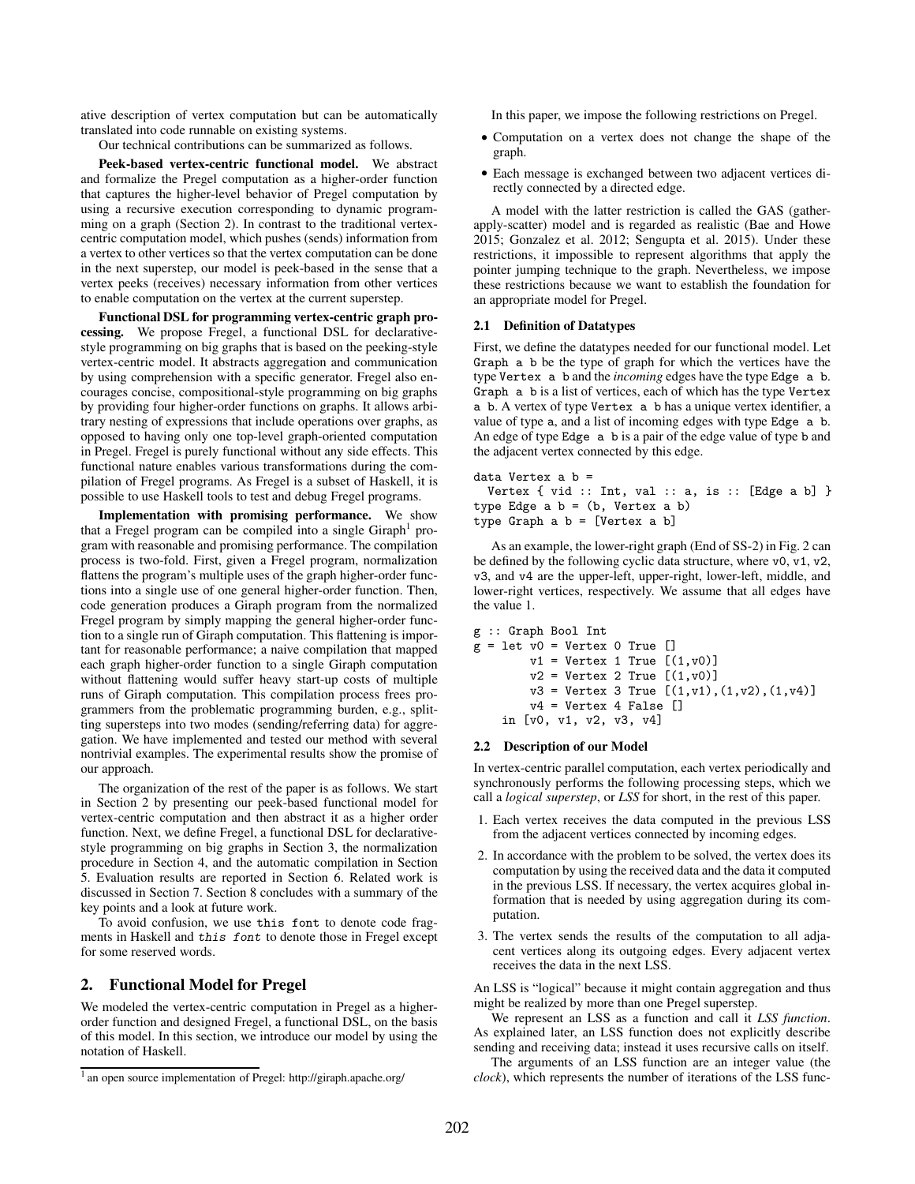ative description of vertex computation but can be automatically translated into code runnable on existing systems.

Our technical contributions can be summarized as follows.

Peek-based vertex-centric functional model. We abstract and formalize the Pregel computation as a higher-order function that captures the higher-level behavior of Pregel computation by using a recursive execution corresponding to dynamic programming on a graph (Section 2). In contrast to the traditional vertexcentric computation model, which pushes (sends) information from a vertex to other vertices so that the vertex computation can be done in the next superstep, our model is peek-based in the sense that a vertex peeks (receives) necessary information from other vertices to enable computation on the vertex at the current superstep.

Functional DSL for programming vertex-centric graph processing. We propose Fregel, a functional DSL for declarativestyle programming on big graphs that is based on the peeking-style vertex-centric model. It abstracts aggregation and communication by using comprehension with a specific generator. Fregel also encourages concise, compositional-style programming on big graphs by providing four higher-order functions on graphs. It allows arbitrary nesting of expressions that include operations over graphs, as opposed to having only one top-level graph-oriented computation in Pregel. Fregel is purely functional without any side effects. This functional nature enables various transformations during the compilation of Fregel programs. As Fregel is a subset of Haskell, it is possible to use Haskell tools to test and debug Fregel programs.

Implementation with promising performance. We show that a Fregel program can be compiled into a single Giraph<sup>1</sup> program with reasonable and promising performance. The compilation process is two-fold. First, given a Fregel program, normalization flattens the program's multiple uses of the graph higher-order functions into a single use of one general higher-order function. Then, code generation produces a Giraph program from the normalized Fregel program by simply mapping the general higher-order function to a single run of Giraph computation. This flattening is important for reasonable performance; a naive compilation that mapped each graph higher-order function to a single Giraph computation without flattening would suffer heavy start-up costs of multiple runs of Giraph computation. This compilation process frees programmers from the problematic programming burden, e.g., splitting supersteps into two modes (sending/referring data) for aggregation. We have implemented and tested our method with several nontrivial examples. The experimental results show the promise of our approach.

The organization of the rest of the paper is as follows. We start in Section 2 by presenting our peek-based functional model for vertex-centric computation and then abstract it as a higher order function. Next, we define Fregel, a functional DSL for declarativestyle programming on big graphs in Section 3, the normalization procedure in Section 4, and the automatic compilation in Section 5. Evaluation results are reported in Section 6. Related work is discussed in Section 7. Section 8 concludes with a summary of the key points and a look at future work.

To avoid confusion, we use this font to denote code fragments in Haskell and *this font* to denote those in Fregel except for some reserved words.

## 2. Functional Model for Pregel

We modeled the vertex-centric computation in Pregel as a higherorder function and designed Fregel, a functional DSL, on the basis of this model. In this section, we introduce our model by using the notation of Haskell.

In this paper, we impose the following restrictions on Pregel.

- Computation on a vertex does not change the shape of the graph.
- Each message is exchanged between two adjacent vertices directly connected by a directed edge.

A model with the latter restriction is called the GAS (gatherapply-scatter) model and is regarded as realistic (Bae and Howe 2015; Gonzalez et al. 2012; Sengupta et al. 2015). Under these restrictions, it impossible to represent algorithms that apply the pointer jumping technique to the graph. Nevertheless, we impose these restrictions because we want to establish the foundation for an appropriate model for Pregel.

## 2.1 Definition of Datatypes

First, we define the datatypes needed for our functional model. Let Graph a b be the type of graph for which the vertices have the type Vertex a b and the *incoming* edges have the type Edge a b. Graph a b is a list of vertices, each of which has the type Vertex a b. A vertex of type Vertex a b has a unique vertex identifier, a value of type a, and a list of incoming edges with type Edge a b. An edge of type Edge a b is a pair of the edge value of type b and the adjacent vertex connected by this edge.

```
data Vertex a b =
 Vertex \{ vid :: Int, val :: a, is :: [Edge a b] \}type Edge a b = (b, Vertex a b)
type Graph a b = [Vertex a b]
```
As an example, the lower-right graph (End of SS-2) in Fig. 2 can be defined by the following cyclic data structure, where v0, v1, v2, v3, and v4 are the upper-left, upper-right, lower-left, middle, and lower-right vertices, respectively. We assume that all edges have the value 1.

```
g :: Graph Bool Int
g = let v0 = Vertex 0 True []v1 = Vertex 1 True [(1, v0)]v2 = Vertex 2 True [(1, v0)]v3 = Vertex 3 True [(1, v1), (1, v2), (1, v4)]v4 = Vertex 4 False []
    in [v0, v1, v2, v3, v4]
```
## 2.2 Description of our Model

In vertex-centric parallel computation, each vertex periodically and synchronously performs the following processing steps, which we call a *logical superstep*, or *LSS* for short, in the rest of this paper.

- 1. Each vertex receives the data computed in the previous LSS from the adjacent vertices connected by incoming edges.
- 2. In accordance with the problem to be solved, the vertex does its computation by using the received data and the data it computed in the previous LSS. If necessary, the vertex acquires global information that is needed by using aggregation during its computation.
- 3. The vertex sends the results of the computation to all adjacent vertices along its outgoing edges. Every adjacent vertex receives the data in the next LSS.

An LSS is "logical" because it might contain aggregation and thus might be realized by more than one Pregel superstep.

We represent an LSS as a function and call it *LSS function*. As explained later, an LSS function does not explicitly describe sending and receiving data; instead it uses recursive calls on itself.

The arguments of an LSS function are an integer value (the *clock*), which represents the number of iterations of the LSS func-

<sup>&</sup>lt;sup>1</sup> an open source implementation of Pregel: http://giraph.apache.org/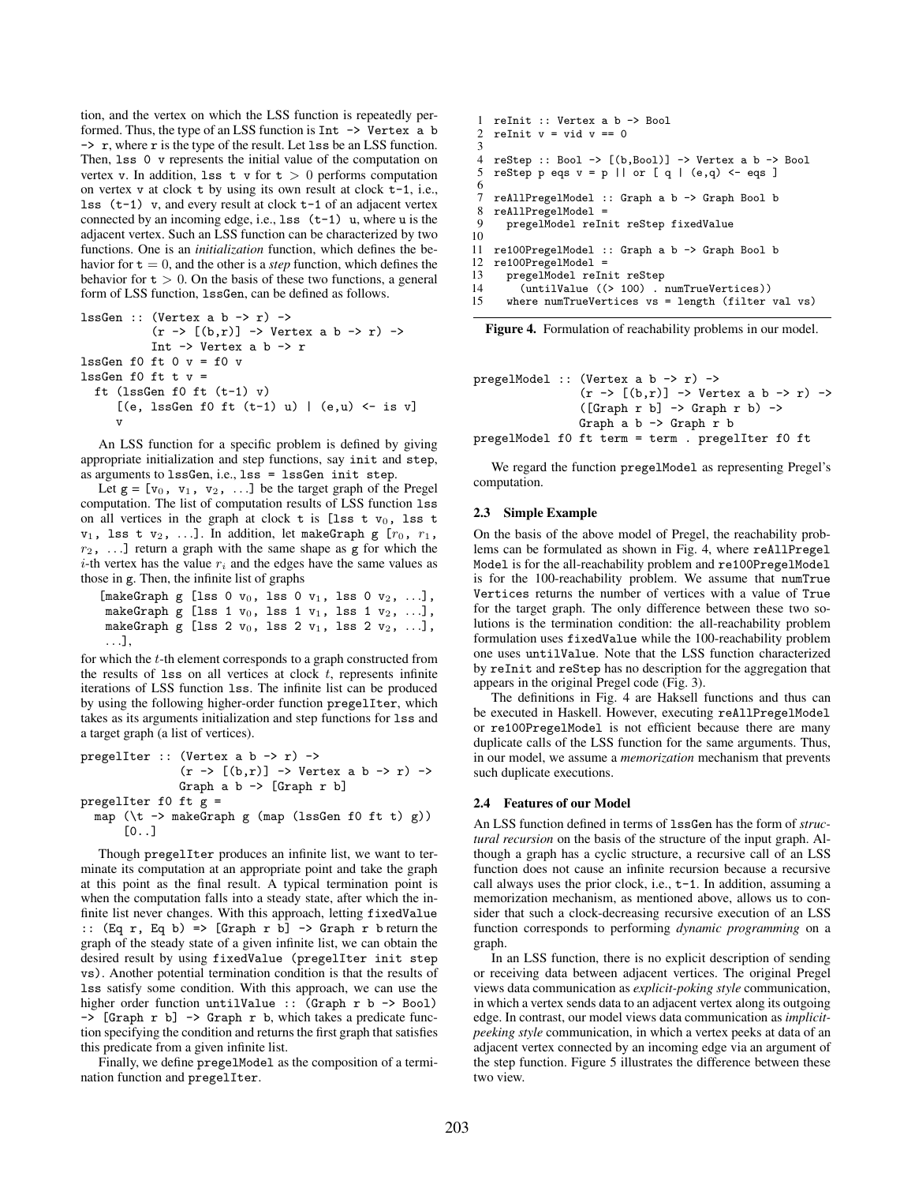tion, and the vertex on which the LSS function is repeatedly performed. Thus, the type of an LSS function is Int -> Vertex a b  $\rightarrow$  r, where r is the type of the result. Let lss be an LSS function. Then, lss 0 v represents the initial value of the computation on vertex v. In addition, lss t v for  $t > 0$  performs computation on vertex  $v$  at clock  $t$  by using its own result at clock  $t-1$ , i.e., 1ss  $(t-1)$  v, and every result at clock  $t-1$  of an adjacent vertex connected by an incoming edge, i.e.,  $\text{lss } (t-1)$  u, where u is the adjacent vertex. Such an LSS function can be characterized by two functions. One is an *initialization* function, which defines the behavior for  $t = 0$ , and the other is a *step* function, which defines the behavior for  $t > 0$ . On the basis of these two functions, a general form of LSS function, lssGen, can be defined as follows.

```
1ssGen :: (Vertex a b \rightarrow r) ->
             (r \rightarrow [(b,r)] \rightarrow Vertex a b -> r) ->
            Int \rightarrow Vertex a b \rightarrow r
lssGen f0 ft 0 v = f0 vlssGen f0 ft t v =ft (lssGen f0 ft (t-1) v)
      [(e, lsGen f0 ft (t-1) u) | (e,u) < - is v]v
```
An LSS function for a specific problem is defined by giving appropriate initialization and step functions, say init and step, as arguments to lssGen, i.e., lss = lssGen init step.

Let  $g = [v_0, v_1, v_2, \dots]$  be the target graph of the Pregel computation. The list of computation results of LSS function lss on all vertices in the graph at clock t is [lss t  $v_0$ , lss t  $v_1$ , lss t  $v_2$ , ...]. In addition, let makeGraph g  $[r_0, r_1,$  $r_2$ , ...] return a graph with the same shape as g for which the *i*-th vertex has the value  $r_i$  and the edges have the same values as those in g. Then, the infinite list of graphs

```
[makeGraph g [lss 0 v_0, lss 0 v_1, lss 0 v_2, ...],
makeGraph g [lss 1 v_0, lss 1 v_1, lss 1 v_2, ...],
makeGraph g [lss 2 v_0, lss 2 v_1, lss 2 v_2, ...],
. . .],
```
for which the t-th element corresponds to a graph constructed from the results of  $\text{1ss}$  on all vertices at clock  $t$ , represents infinite iterations of LSS function lss. The infinite list can be produced by using the following higher-order function pregelIter, which takes as its arguments initialization and step functions for lss and a target graph (a list of vertices).

```
pregelIter :: (Vertex a b -> r) ->
                (r \rightarrow [(b,r)] \rightarrow Vertex a b -> r) ->
                Graph a b -> [Graph r b]
pregelIter f0 ft g =map (\t t \rightarrow \t makeGraph g (map (lssGen f0 ft t) g))[0.1]
```
Though pregelIter produces an infinite list, we want to terminate its computation at an appropriate point and take the graph at this point as the final result. A typical termination point is when the computation falls into a steady state, after which the infinite list never changes. With this approach, letting fixedValue ::  $(Eq r, Eq b)$  =>  $[Graph r b]$  ->  $Graph r b$  return the graph of the steady state of a given infinite list, we can obtain the desired result by using fixedValue (pregelIter init step vs). Another potential termination condition is that the results of lss satisfy some condition. With this approach, we can use the higher order function untilValue :: (Graph r b -> Bool)  $\rightarrow$  [Graph r b]  $\rightarrow$  Graph r b, which takes a predicate function specifying the condition and returns the first graph that satisfies this predicate from a given infinite list.

Finally, we define pregelModel as the composition of a termination function and pregelIter.

```
1 reInit :: Vertex a b -> Bool
 2 reInit v = vid v == 03
 4 reStep :: Bool -> [(b, Boo1)] -> Vertex a b -> Bool<br>5 reStep p eqs y = p || or [a, b] (e q) \leq eqs ]
    restep p eqs v = p || or [ q | (e,q) <- eqs ]
 \frac{6}{7}7 reAllPregelModel :: Graph a b -> Graph Bool b
8 reAllPregelModel =<br>9 pregelModel reIn
       9 pregelModel reInit reStep fixedValue
10
11 re100PregelModel :: Graph a b -> Graph Bool b
12 re100PregelModel =
13 pregelModel reInit reStep
14 (untilValue ( > 100) . numTrueVertices))<br>15 where numTrueVertices ys = length (filter)
       where numTrueVertices vs = length (filter val vs)
```
Figure 4. Formulation of reachability problems in our model.

```
pregelModel :: (Vertex a b \rightarrow r) ->
                  (r \rightarrow [(b,r)] \rightarrow Vertex a b -> r) ->
                  ([Graph r b] \rightarrow Graph r b) ->
                  Graph a b -> Graph r b
pregelModel f0 ft term = term . pregelIter f0 ft
```
We regard the function pregelModel as representing Pregel's computation.

## 2.3 Simple Example

On the basis of the above model of Pregel, the reachability problems can be formulated as shown in Fig. 4, where reAllPregel Model is for the all-reachability problem and re100PregelModel is for the 100-reachability problem. We assume that numTrue Vertices returns the number of vertices with a value of True for the target graph. The only difference between these two solutions is the termination condition: the all-reachability problem formulation uses fixedValue while the 100-reachability problem one uses untilValue. Note that the LSS function characterized by reInit and reStep has no description for the aggregation that appears in the original Pregel code (Fig. 3).

The definitions in Fig. 4 are Haksell functions and thus can be executed in Haskell. However, executing reAllPregelModel or re100PregelModel is not efficient because there are many duplicate calls of the LSS function for the same arguments. Thus, in our model, we assume a *memorization* mechanism that prevents such duplicate executions.

## 2.4 Features of our Model

An LSS function defined in terms of lssGen has the form of *structural recursion* on the basis of the structure of the input graph. Although a graph has a cyclic structure, a recursive call of an LSS function does not cause an infinite recursion because a recursive call always uses the prior clock, i.e.,  $t-1$ . In addition, assuming a memorization mechanism, as mentioned above, allows us to consider that such a clock-decreasing recursive execution of an LSS function corresponds to performing *dynamic programming* on a graph.

In an LSS function, there is no explicit description of sending or receiving data between adjacent vertices. The original Pregel views data communication as *explicit-poking style* communication, in which a vertex sends data to an adjacent vertex along its outgoing edge. In contrast, our model views data communication as *implicitpeeking style* communication, in which a vertex peeks at data of an adjacent vertex connected by an incoming edge via an argument of the step function. Figure 5 illustrates the difference between these two view.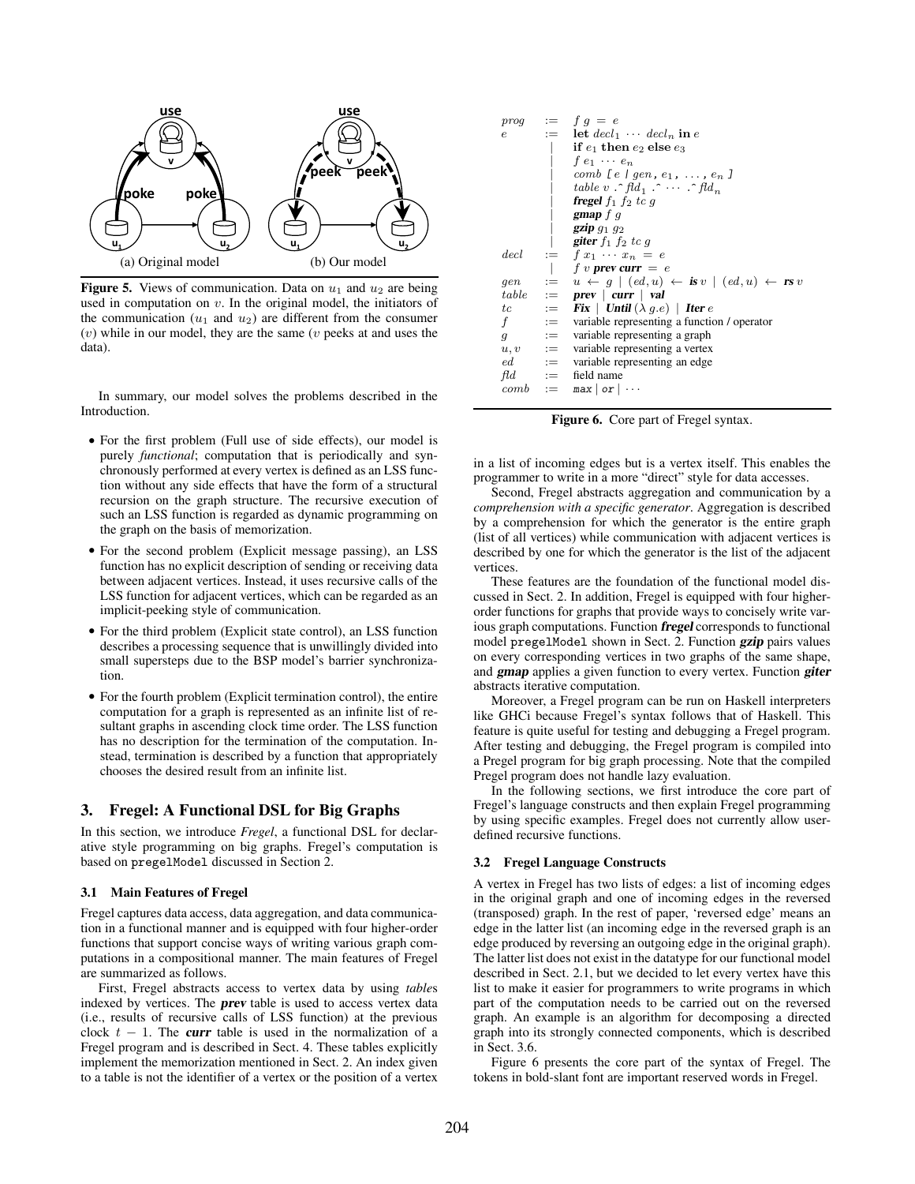

**Figure 5.** Views of communication. Data on  $u_1$  and  $u_2$  are being used in computation on  $v$ . In the original model, the initiators of the communication  $(u_1 \text{ and } u_2)$  are different from the consumer  $(v)$  while in our model, they are the same  $(v$  peeks at and uses the data).

In summary, our model solves the problems described in the Introduction.

- For the first problem (Full use of side effects), our model is purely *functional*; computation that is periodically and synchronously performed at every vertex is defined as an LSS function without any side effects that have the form of a structural recursion on the graph structure. The recursive execution of such an LSS function is regarded as dynamic programming on the graph on the basis of memorization.
- For the second problem (Explicit message passing), an LSS function has no explicit description of sending or receiving data between adjacent vertices. Instead, it uses recursive calls of the LSS function for adjacent vertices, which can be regarded as an implicit-peeking style of communication.
- For the third problem (Explicit state control), an LSS function describes a processing sequence that is unwillingly divided into small supersteps due to the BSP model's barrier synchronization.
- For the fourth problem (Explicit termination control), the entire computation for a graph is represented as an infinite list of resultant graphs in ascending clock time order. The LSS function has no description for the termination of the computation. Instead, termination is described by a function that appropriately chooses the desired result from an infinite list.

## 3. Fregel: A Functional DSL for Big Graphs

In this section, we introduce *Fregel*, a functional DSL for declarative style programming on big graphs. Fregel's computation is based on pregelModel discussed in Section 2.

#### 3.1 Main Features of Fregel

Fregel captures data access, data aggregation, and data communication in a functional manner and is equipped with four higher-order functions that support concise ways of writing various graph computations in a compositional manner. The main features of Fregel are summarized as follows.

First, Fregel abstracts access to vertex data by using *table*s indexed by vertices. The prev table is used to access vertex data (i.e., results of recursive calls of LSS function) at the previous clock  $t - 1$ . The **curr** table is used in the normalization of a Fregel program and is described in Sect. 4. These tables explicitly implement the memorization mentioned in Sect. 2. An index given to a table is not the identifier of a vertex or the position of a vertex

|   | proq $:=$ $f \, q = e$                                                                              |
|---|-----------------------------------------------------------------------------------------------------|
| e | $\mathbf{r} = \det \text{det}_1 \cdots \text{det}_n \text{ in } e$                                  |
|   | if $e_1$ then $e_2$ else $e_3$                                                                      |
|   | $f e_1 \cdots e_n$                                                                                  |
|   | comb [e   gen, e <sub>1</sub> , , e <sub>n</sub> ]                                                  |
|   | table v $\hat{H}$ $\hat{H}$ $\hat{d}_1$ $\hat{H}$ $\cdots$ $\hat{H}$ $\hat{d}_n$                    |
|   | <b>fregel</b> $f_1$ $f_2$ $tc$ $g$                                                                  |
|   | gmap $f$ $g$                                                                                        |
|   | gzip $g_1$ $g_2$                                                                                    |
|   | <b>giter</b> $f_1$ $f_2$ tc q                                                                       |
|   | $\text{decl}$ = $f x_1 \cdots x_n = e$                                                              |
|   | $\int f v$ prev curr = e                                                                            |
|   | gen $:= u \leftarrow g \mid (ed, u) \leftarrow \mathbf{is} v \mid (ed, u) \leftarrow \mathbf{rs} v$ |
|   | $table \quad := \quad prev \mid curr \mid val$                                                      |
|   | tc $:=$ <b>Fix</b>   Until $(\lambda q.e)$   Iter e                                                 |
| f | := variable representing a function / operator                                                      |
|   | $g$ := variable representing a graph                                                                |
|   | $u, v$ := variable representing a vertex                                                            |
|   | $ed$ := variable representing an edge                                                               |
|   | $\text{Hd}$ := field name                                                                           |
|   | $comb := \max  or  \cdots$                                                                          |

Figure 6. Core part of Fregel syntax.

in a list of incoming edges but is a vertex itself. This enables the programmer to write in a more "direct" style for data accesses.

Second, Fregel abstracts aggregation and communication by a *comprehension with a specific generator*. Aggregation is described by a comprehension for which the generator is the entire graph (list of all vertices) while communication with adjacent vertices is described by one for which the generator is the list of the adjacent vertices.

These features are the foundation of the functional model discussed in Sect. 2. In addition, Fregel is equipped with four higherorder functions for graphs that provide ways to concisely write various graph computations. Function fregel corresponds to functional model pregelModel shown in Sect. 2. Function gzip pairs values on every corresponding vertices in two graphs of the same shape, and gmap applies a given function to every vertex. Function giter abstracts iterative computation.

Moreover, a Fregel program can be run on Haskell interpreters like GHCi because Fregel's syntax follows that of Haskell. This feature is quite useful for testing and debugging a Fregel program. After testing and debugging, the Fregel program is compiled into a Pregel program for big graph processing. Note that the compiled Pregel program does not handle lazy evaluation.

In the following sections, we first introduce the core part of Fregel's language constructs and then explain Fregel programming by using specific examples. Fregel does not currently allow userdefined recursive functions.

#### 3.2 Fregel Language Constructs

A vertex in Fregel has two lists of edges: a list of incoming edges in the original graph and one of incoming edges in the reversed (transposed) graph. In the rest of paper, 'reversed edge' means an edge in the latter list (an incoming edge in the reversed graph is an edge produced by reversing an outgoing edge in the original graph). The latter list does not exist in the datatype for our functional model described in Sect. 2.1, but we decided to let every vertex have this list to make it easier for programmers to write programs in which part of the computation needs to be carried out on the reversed graph. An example is an algorithm for decomposing a directed graph into its strongly connected components, which is described in Sect. 3.6.

Figure 6 presents the core part of the syntax of Fregel. The tokens in bold-slant font are important reserved words in Fregel.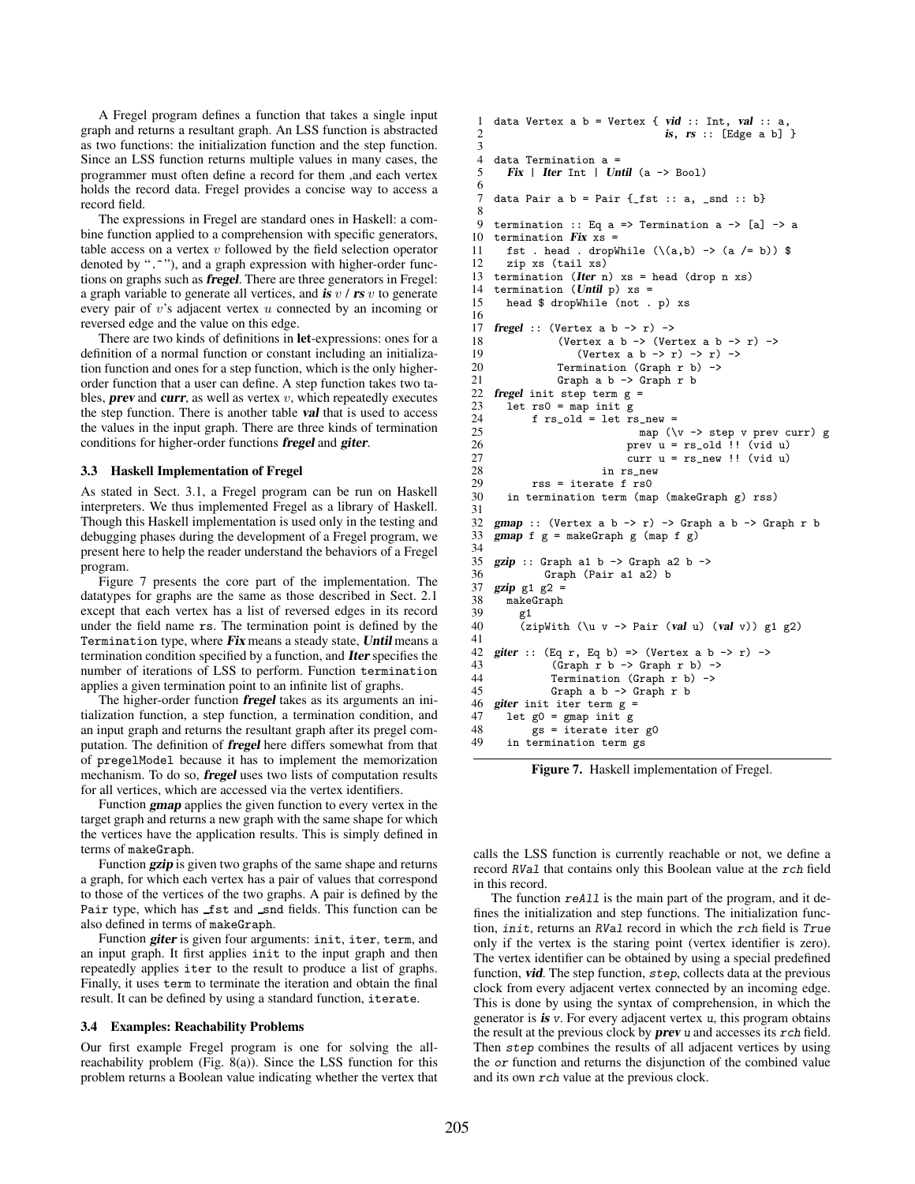A Fregel program defines a function that takes a single input graph and returns a resultant graph. An LSS function is abstracted as two functions: the initialization function and the step function. Since an LSS function returns multiple values in many cases, the programmer must often define a record for them ,and each vertex holds the record data. Fregel provides a concise way to access a record field.

The expressions in Fregel are standard ones in Haskell: a combine function applied to a comprehension with specific generators, table access on a vertex  $v$  followed by the field selection operator denoted by "*.^* "), and a graph expression with higher-order functions on graphs such as fregel. There are three generators in Fregel: a graph variable to generate all vertices, and is  $v /$  rs  $v$  to generate every pair of v's adjacent vertex u connected by an incoming or reversed edge and the value on this edge.

There are two kinds of definitions in let-expressions: ones for a definition of a normal function or constant including an initialization function and ones for a step function, which is the only higherorder function that a user can define. A step function takes two tables, **prev** and **curr**, as well as vertex  $v$ , which repeatedly executes the step function. There is another table **val** that is used to access the values in the input graph. There are three kinds of termination conditions for higher-order functions fregel and giter.

#### 3.3 Haskell Implementation of Fregel

As stated in Sect. 3.1, a Fregel program can be run on Haskell interpreters. We thus implemented Fregel as a library of Haskell. Though this Haskell implementation is used only in the testing and debugging phases during the development of a Fregel program, we present here to help the reader understand the behaviors of a Fregel program.

Figure 7 presents the core part of the implementation. The datatypes for graphs are the same as those described in Sect. 2.1 except that each vertex has a list of reversed edges in its record under the field name rs. The termination point is defined by the Termination type, where Fix means a steady state, Until means a termination condition specified by a function, and Iter specifies the number of iterations of LSS to perform. Function termination applies a given termination point to an infinite list of graphs.

The higher-order function **fregel** takes as its arguments an initialization function, a step function, a termination condition, and an input graph and returns the resultant graph after its pregel computation. The definition of fregel here differs somewhat from that of pregelModel because it has to implement the memorization mechanism. To do so, **fregel** uses two lists of computation results for all vertices, which are accessed via the vertex identifiers.

Function gmap applies the given function to every vertex in the target graph and returns a new graph with the same shape for which the vertices have the application results. This is simply defined in terms of makeGraph.

Function *gzip* is given two graphs of the same shape and returns a graph, for which each vertex has a pair of values that correspond to those of the vertices of the two graphs. A pair is defined by the Pair type, which has fst and snd fields. This function can be also defined in terms of makeGraph.

Function giter is given four arguments: init, iter, term, and an input graph. It first applies init to the input graph and then repeatedly applies iter to the result to produce a list of graphs. Finally, it uses term to terminate the iteration and obtain the final result. It can be defined by using a standard function, iterate.

#### 3.4 Examples: Reachability Problems

Our first example Fregel program is one for solving the allreachability problem (Fig. 8(a)). Since the LSS function for this problem returns a Boolean value indicating whether the vertex that

```
1 data Vertex a b = Vertex { vid :: Int, val :: a,
 2 is, rs :: [Edge a b] }
 3
 4 data Termination a =<br>5 Fix | Iter Int | Ilm
        Fix | Iter Int | Until (a \rightarrow Bool)
 6
 7 data Pair a b = Pair { fst :: a, fsnd :: b}
 8
9 termination :: Eq a => Termination a -> [a] -> a<br>10 termination Fix xs =
     termination Fix \overline{xs} =
11 fst . head . dropWhile (\{(a,b) \rightarrow (a /= b)) $<br>12 zin xs (tail xs)
12 zip xs (tail xs)<br>13 termination (Her m
     termination (Iter n) xs = head (drop n xs)
14 termination (Until p) xs =<br>15 head $ dropWhile (not
        head $ dropWhile (not . p) xs
\frac{16}{17}fregel :: (Vertex a b \rightarrow r) \rightarrow18 (Vertex a b -> (Vertex a b -> r) -><br>19 (Vertex a b -> r) -> r) ->
19 (Vertex a b \rightarrow r) \rightarrow 7) -> 20 Termination (Graph r b) ->
                     Termination (Graph r b) \rightarrow21 Graph a b \rightarrow Graph r b<br>22 freed init step term \sigma =22 fregel init step term g = 23 let rs0 = ma init g = 2323 let rs0 = map init g<br>24 f rs\_old = let rf rs_old = let rs_new =25 map (\forall v \rightarrow step \ v \ prev \ curr) g<br>
26 prev u = rs_old !! (vid u)
26 \begin{array}{ccc} 26 & \text{prev } u = rs\_old \text{ !!} \text{ (vid } u) \\ 27 & \text{curr } u = rs\_new \text{ !!} \text{ (vid } u) \end{array}curr u = rs_new !! (vid u)
28 in rs_new<br>29 rss = iterate f rs0
29 rss = iterate f rs0<br>30 in termination term (ma
        in termination term (map (makeGraph g) rss)
31
32 gmap :: (Vertex a b -> r) -> Graph a b -> Graph r b<br>33 gmap f g = makeGraph g (map f g)
     \text{gmap } f g = \text{makeGraph } g \text{ (map } f g)34<br>35
     gzip :: Graph a1 b \rightarrow Graph a2 b \rightarrow36 Graph (Pair a1 a2) b<br>37 gzip g1 g2 =
\begin{array}{r}\n 37 \\
 38 \\
 \text{makeGraph} \\
 \end{array}38 makeGraph<br>39 g139 g1<br>40 (z)(zipWith (\nu \ v \rightarrow Pair (val u) (val v)) g1 g2)41
42 giter :: (Eq r, Eq b) => (Vertex a b -> r) ->
43 (Graph r b \rightarrow Graph r b) \rightarrow 44 Termination (Graph r b) \rightarrow44 Termination (Graph r b) -><br>45 Graph a b -> Graph r b
45 Graph a b \rightarrow Graph r b 46 giter init iter term \sigma =giter init iter term g =47 let g0 = gmap init g<br>48 g = iterate ite
48 gs = iterate iter g0<br>49 in termination term gsin termination term gs
```
Figure 7. Haskell implementation of Fregel.

calls the LSS function is currently reachable or not, we define a record *RVal* that contains only this Boolean value at the *rch* field in this record.

The function *reAll* is the main part of the program, and it defines the initialization and step functions. The initialization function, *init*, returns an *RVal* record in which the *rch* field is *True* only if the vertex is the staring point (vertex identifier is zero). The vertex identifier can be obtained by using a special predefined function, vid. The step function, *step*, collects data at the previous clock from every adjacent vertex connected by an incoming edge. This is done by using the syntax of comprehension, in which the generator is is *v*. For every adjacent vertex *u*, this program obtains the result at the previous clock by prev *u* and accesses its *rch* field. Then *step* combines the results of all adjacent vertices by using the *or* function and returns the disjunction of the combined value and its own *rch* value at the previous clock.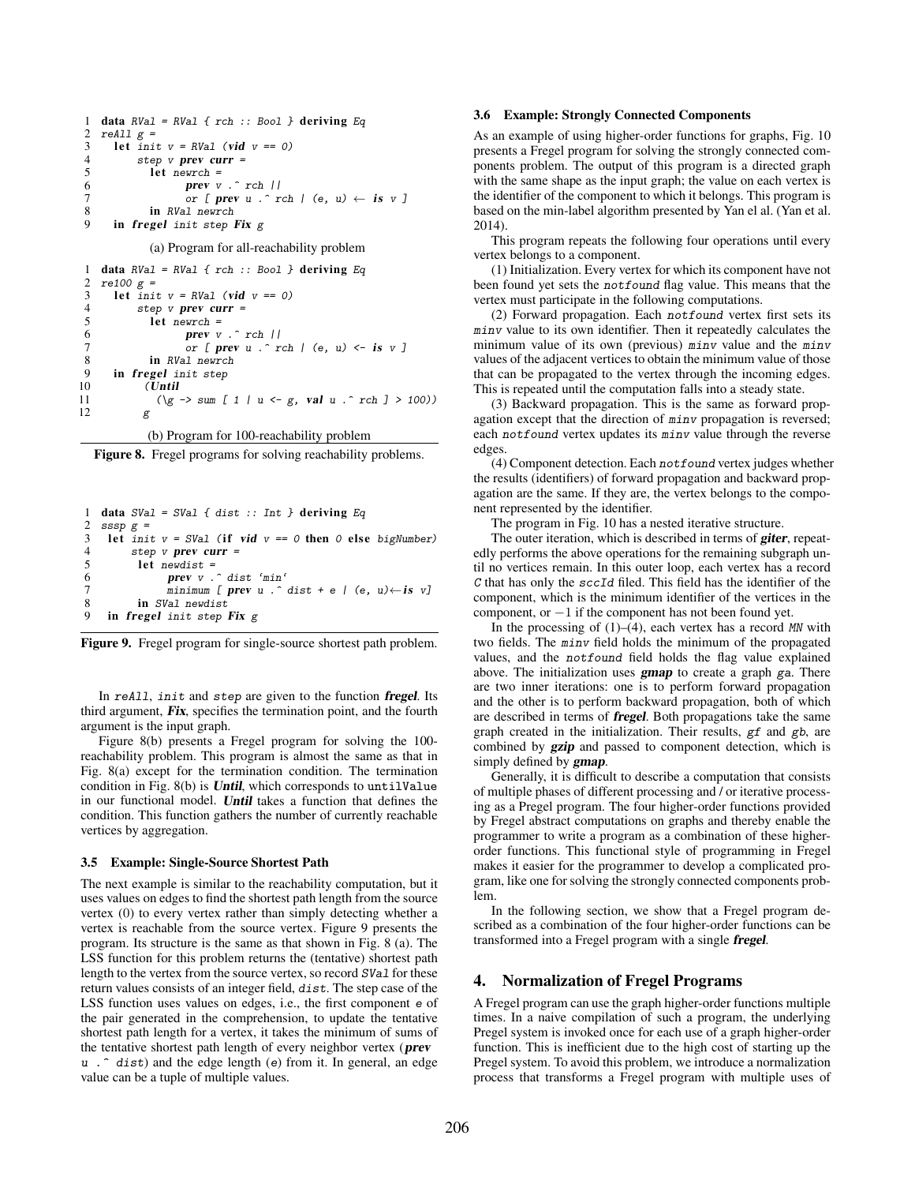```
1 data RVal = RVal { rch :: Bool } deriving Eq
2 reAll g =
3 let \text{init } v = \text{RVal} (vid v == 0)<br>4 step v prev curr =
4 step v prev curr =
5 let newrch = 6 prev v
                        6 prev v .^ rch ||
7 \qquad \qquad \text{or} \quad [ \text{prev } u \quad \hat{\ } \text{rch} \mid (\text{e, u}) \leftarrow \text{is } v \quad ]<br>8 in RVal newrch
               8 in RVal newrch
9 in fregel init step Fix g
```
(a) Program for all-reachability problem

```
1 data RVal = RVal { rch :: Bool } deriving Eq
2 re100 g =
3 let \begin{array}{c} \n\text{int } v = RVal \text{ (vid } v == 0) \\
\text{4} \n\end{array}4 step v prev curr =
            let newrch =
 6 prev v .^ rch ||
7 or [ prev u . ^ rch | (e, u) <- is v ]<br>8 in RVal newrch
            8 in RVal newrch
9 in fregel init step
           10 (Until
11 (\g -> sum [ 1 | u <- g, val u .^ rch ] > 100))
12 g
```
(b) Program for 100-reachability problem

Figure 8. Fregel programs for solving reachability problems.

```
1 data SVal = SVal { dist :: Int } deriving Eq
  2 sssp g =
3 let int v = SVal (if vid v == 0 then 0 else bigNumber)<br>4 step v prev curr =
4 step v prev curr =
5 let newdist =<br>6 prev v.
6 prev v .^ dist 'min'
              minimum [ prev u . \hat{i} dist + e | (e, u)\leftarrow is v]
8 in SVal newdist
    9 in fregel init step Fix g
```
Figure 9. Fregel program for single-source shortest path problem.

In *reAll*, *init* and *step* are given to the function fregel. Its third argument, Fix, specifies the termination point, and the fourth argument is the input graph.

Figure 8(b) presents a Fregel program for solving the 100 reachability problem. This program is almost the same as that in Fig. 8(a) except for the termination condition. The termination condition in Fig. 8(b) is Until, which corresponds to untilValue in our functional model. Until takes a function that defines the condition. This function gathers the number of currently reachable vertices by aggregation.

#### 3.5 Example: Single-Source Shortest Path

The next example is similar to the reachability computation, but it uses values on edges to find the shortest path length from the source vertex (0) to every vertex rather than simply detecting whether a vertex is reachable from the source vertex. Figure 9 presents the program. Its structure is the same as that shown in Fig. 8 (a). The LSS function for this problem returns the (tentative) shortest path length to the vertex from the source vertex, so record *SVal* for these return values consists of an integer field, *dist*. The step case of the LSS function uses values on edges, i.e., the first component *e* of the pair generated in the comprehension, to update the tentative shortest path length for a vertex, it takes the minimum of sums of the tentative shortest path length of every neighbor vertex (prev *u .^ dist*) and the edge length (*e*) from it. In general, an edge value can be a tuple of multiple values.

## 3.6 Example: Strongly Connected Components

As an example of using higher-order functions for graphs, Fig. 10 presents a Fregel program for solving the strongly connected components problem. The output of this program is a directed graph with the same shape as the input graph; the value on each vertex is the identifier of the component to which it belongs. This program is based on the min-label algorithm presented by Yan el al. (Yan et al. 2014).

This program repeats the following four operations until every vertex belongs to a component.

(1) Initialization. Every vertex for which its component have not been found yet sets the *notfound* flag value. This means that the vertex must participate in the following computations.

(2) Forward propagation. Each *notfound* vertex first sets its *minv* value to its own identifier. Then it repeatedly calculates the minimum value of its own (previous) *minv* value and the *minv* values of the adjacent vertices to obtain the minimum value of those that can be propagated to the vertex through the incoming edges. This is repeated until the computation falls into a steady state.

(3) Backward propagation. This is the same as forward propagation except that the direction of *minv* propagation is reversed; each *notfound* vertex updates its *minv* value through the reverse edges.

(4) Component detection. Each *notfound* vertex judges whether the results (identifiers) of forward propagation and backward propagation are the same. If they are, the vertex belongs to the component represented by the identifier.

The program in Fig. 10 has a nested iterative structure.

The outer iteration, which is described in terms of **giter**, repeatedly performs the above operations for the remaining subgraph until no vertices remain. In this outer loop, each vertex has a record *C* that has only the *sccId* filed. This field has the identifier of the component, which is the minimum identifier of the vertices in the component, or  $-1$  if the component has not been found yet.

In the processing of (1)–(4), each vertex has a record *MN* with two fields. The *minv* field holds the minimum of the propagated values, and the *notfound* field holds the flag value explained above. The initialization uses gmap to create a graph *ga*. There are two inner iterations: one is to perform forward propagation and the other is to perform backward propagation, both of which are described in terms of fregel. Both propagations take the same graph created in the initialization. Their results, *gf* and *gb*, are combined by **gzip** and passed to component detection, which is simply defined by **gmap**.

Generally, it is difficult to describe a computation that consists of multiple phases of different processing and / or iterative processing as a Pregel program. The four higher-order functions provided by Fregel abstract computations on graphs and thereby enable the programmer to write a program as a combination of these higherorder functions. This functional style of programming in Fregel makes it easier for the programmer to develop a complicated program, like one for solving the strongly connected components problem.

In the following section, we show that a Fregel program described as a combination of the four higher-order functions can be transformed into a Fregel program with a single fregel.

## 4. Normalization of Fregel Programs

A Fregel program can use the graph higher-order functions multiple times. In a naive compilation of such a program, the underlying Pregel system is invoked once for each use of a graph higher-order function. This is inefficient due to the high cost of starting up the Pregel system. To avoid this problem, we introduce a normalization process that transforms a Fregel program with multiple uses of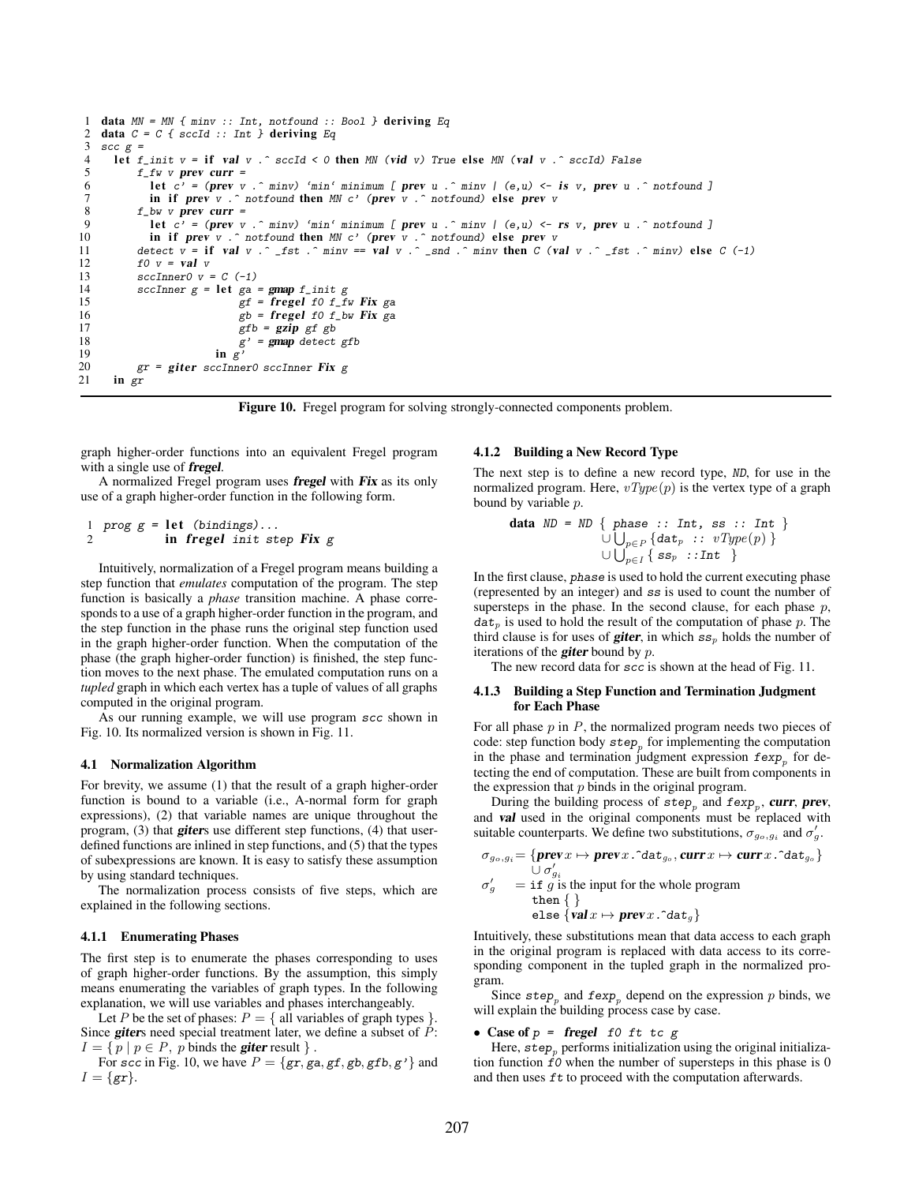```
1 data MN = MN { minv :: Int, notfound :: Bool } deriving Eq
2 data C = C { sccId :: Int } deriving Eq 3 scc \sigma =3 scc g =
4 let f\_init v = if val v \cdot \hat{ } sccId < 0 then MN (vid v) True else MN (val v \cdot \hat{ } sccId) False<br>5 f fw v prev curr =
5 f_fw v prev curr =
              let c' = (prev v . ^ minv) 'min' minimum [ prev u . ^ minv | (e,u) <- is v, prev u . ^ notfound ]
7 in if prev v . \hat{ }} notfound then MN c' (prev v . \hat{ }} notfound) else prev v 8 f by v prev curr =
            8 f_bw v prev curr =
9 let c' = (prev \ v \t .^r \min v) 'min' \minimm [prev \ u \t .^r \min v ] (e,u) < -rs \ v, \text{ prev } u \t .^r \text{ not found } ]<br>10 in if prev v \t .^r \text{ not found then } MN c' (prev \ v \t .^r \text{ not found}) \text{ else } prev \ v10 in if prev v . \degree notfound then MN c \degree (prev v . \degree notfound) else prev v
11 detect v = if val v \cdot \hat{i} fst \hat{j} minv  == val v \cdot \hat{j} snd \hat{j} minv then C (val v \cdot \hat{i} fst \hat{j} minv) else C (-1)
12 f0 \text{ } v = \text{val } v<br>13 \sec \text{Inner} 0 \text{ } v =13 sccInner0 v = C (-1)
14 sccInner g = let ga = gmap f_{\text{init}} g<br>15 of = fregel f0 f f
                                 15 gf = fregel f0 f_fw Fix ga
16 gb = fregel f0 f_bw Fix ga
17 gfb = gzip gf gb
18 g' = gmap detect gfb
19 in g'
20 gr = gi ter sccInner0 sccInner Fix g
       in gr
```
Figure 10. Fregel program for solving strongly-connected components problem.

graph higher-order functions into an equivalent Fregel program with a single use of **fregel**.

A normalized Fregel program uses fregel with Fix as its only use of a graph higher-order function in the following form.

$$
\begin{array}{c}\n1 \ \text{prog } g = \text{let } (\text{bindings}) \dots \\
2 \quad \text{in } \text{freqel init step Fix } g\n\end{array}
$$

Intuitively, normalization of a Fregel program means building a step function that *emulates* computation of the program. The step function is basically a *phase* transition machine. A phase corresponds to a use of a graph higher-order function in the program, and the step function in the phase runs the original step function used in the graph higher-order function. When the computation of the phase (the graph higher-order function) is finished, the step function moves to the next phase. The emulated computation runs on a *tupled* graph in which each vertex has a tuple of values of all graphs computed in the original program.

As our running example, we will use program *scc* shown in Fig. 10. Its normalized version is shown in Fig. 11.

#### 4.1 Normalization Algorithm

For brevity, we assume (1) that the result of a graph higher-order function is bound to a variable (i.e., A-normal form for graph expressions), (2) that variable names are unique throughout the program, (3) that **giters** use different step functions, (4) that userdefined functions are inlined in step functions, and (5) that the types of subexpressions are known. It is easy to satisfy these assumption by using standard techniques.

The normalization process consists of five steps, which are explained in the following sections.

#### 4.1.1 Enumerating Phases

The first step is to enumerate the phases corresponding to uses of graph higher-order functions. By the assumption, this simply means enumerating the variables of graph types. In the following explanation, we will use variables and phases interchangeably.

Let P be the set of phases:  $P = \{$  all variables of graph types  $\}$ . Since **giters** need special treatment later, we define a subset of  $P$ :  $I = \{ p | p \in P, p \text{ binds the **giter** result } \}.$ 

For scc in Fig. 10, we have  $P = \{gr, ga, gf, gb, gfb, g'\}$  and  $I = \{gr\}.$ 

#### 4.1.2 Building a New Record Type

The next step is to define a new record type, *ND*, for use in the normalized program. Here,  $vType(p)$  is the vertex type of a graph bound by variable p.

$$
\begin{array}{ll}\n\text{data} & \text{ND} = \text{ND} \{ \text{phase} :: \text{Int, ss} :: \text{Int} \} \\
& \cup \bigcup_{p \in P} \{ \text{dat}_p :: \text{vType}(p) \} \\
& \cup \bigcup_{p \in I} \{ \text{ss}_p :: \text{Int} \} \n\end{array}
$$

In the first clause, *phase* is used to hold the current executing phase (represented by an integer) and *ss* is used to count the number of supersteps in the phase. In the second clause, for each phase  $p$ ,  $dat_p$  is used to hold the result of the computation of phase  $p$ . The third clause is for uses of **giter**, in which  $ss_p$  holds the number of iterations of the **giter** bound by  $p$ .

The new record data for *scc* is shown at the head of Fig. 11.

#### 4.1.3 Building a Step Function and Termination Judgment for Each Phase

For all phase  $p$  in  $P$ , the normalized program needs two pieces of code: step function body  $step_p$  for implementing the computation in the phase and termination judgment expression  $f \exp_p$  for detecting the end of computation. These are built from components in the expression that  $p$  binds in the original program.

During the building process of  $\mathtt{step}_p$  and  $\mathtt{fexp}_p,$  **curr, prev,** and **val** used in the original components must be replaced with suitable counterparts. We define two substitutions,  $\sigma_{g_o,g_i}$  and  $\sigma'_{g}$ .

$$
\sigma_{g_o,g_i} = \{ \text{prev } x \mapsto \text{prev } x \cdot \text{`dat}_{g_o}, \text{curr } x \mapsto \text{curr } x \cdot \text{`dat}_{g_o} \}
$$
\n
$$
\sigma'_g = \text{if } g \text{ is the input for the whole program} \text{then } \{\}
$$
\n
$$
\text{else } \{ \text{val } x \mapsto \text{prev } x \cdot \text{`dat}_{g} \}
$$

Intuitively, these substitutions mean that data access to each graph in the original program is replaced with data access to its corresponding component in the tupled graph in the normalized program.

Since  $step_p$  and  $fexp_p$  depend on the expression p binds, we will explain the building process case by case.

## • Case of *p =* fregel *f0 ft tc g*

Here,  $\text{step}_p$  performs initialization using the original initialization function *f0* when the number of supersteps in this phase is 0 and then uses *ft* to proceed with the computation afterwards.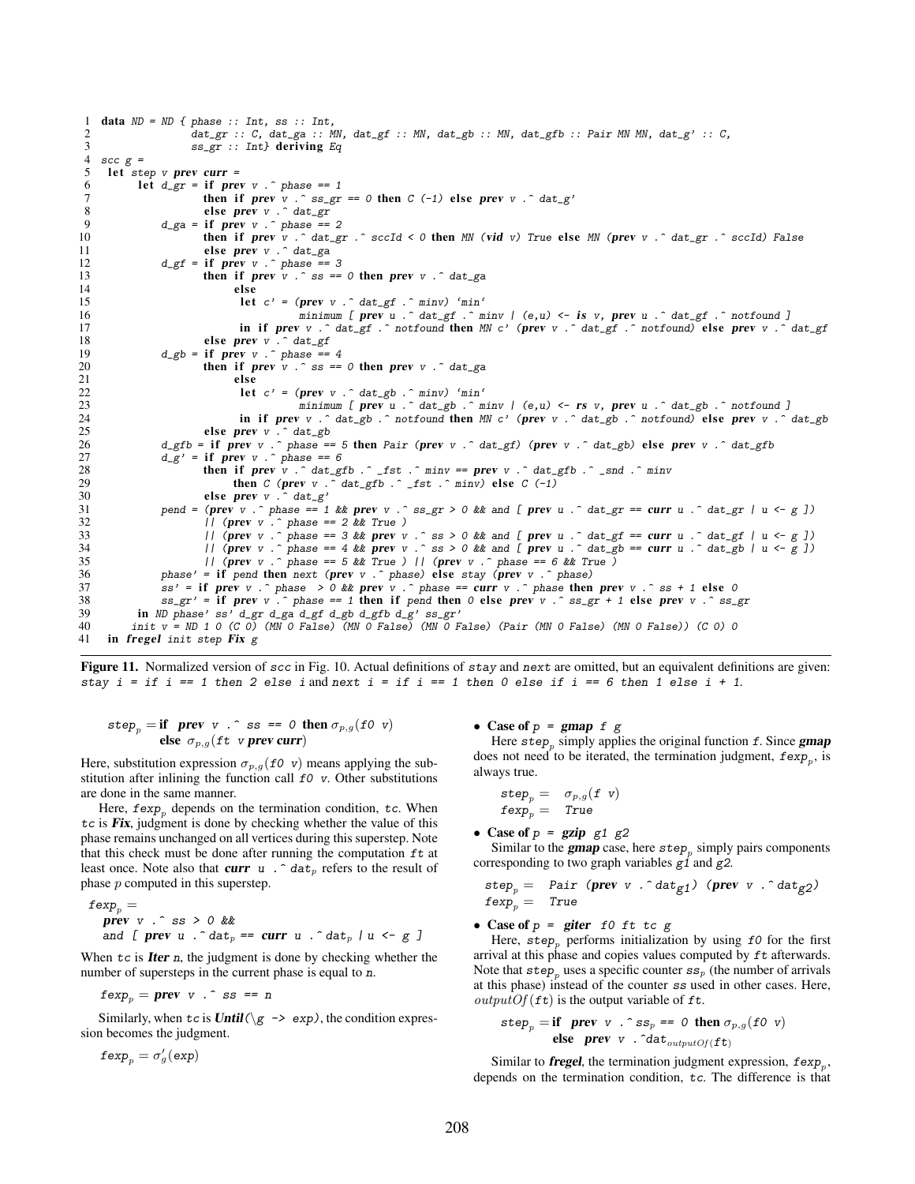```
1 data ND = ND { phase :: Int, ss :: Int,
2 dat_gr :: C, dat_ga :: MN, dat_gf :: MN, dat_gb :: MN, dat_gfb :: Pair MN MN, dat_g' :: C,
                     3 ss_gr :: Int} deriving Eq
 4 scc g =
 5 let step v prev curr = 6 let d_{\text{gT}} = if pre
 6 let d\_gr = if prev v . ^ phase == 1<br>7 then if prev v ^ ss or
7 then if prev \overline{v} . ^ ss_gr == 0 then C (-1) else prev \overline{v} . ^ dat_g'
                        else prev v . ^ dat_gr
9 d_{g} = \text{if } \text{prev } v \text{ .}^{\circ} \text{ phase } = 2<br>10 then if prev v . ^ dat_g
                        then if prev v . ^ dat_gr . ^ sccId < 0 then MN (vid v) True else MN (prev v . ^ dat_gr . ^ sccId) False
11 else prev v .^ dat_ga
12 d_gf = if prev v . ^ phase == 3
13 then if prev v \hat{s} as = 0 then prev v \hat{a} dat_ga 14
                             else
15 l e t c' = (prev v .^ dat_gf .^ minv) 'min'
16 minimum [ prev u .^ dat_gf .^ minv | (e,u) <- is v, prev u .^ dat_gf .^ notfound ]
17 in if prev v .^ dat_gf .^ notfound then MN c' (prev v .^ dat_gf .^ notfound) else prev v .^ dat_gf
18 else prev v .^ dat_gf
19 d_gb = if prev v . ^ phase == 4
20 then if prev \overline{v} . \hat{s} == 0 then prev \overline{v} . \hat{a} dat_ga else
21 else
22 l e t c' = (prev v .^ dat_gb .^ minv) 'min'
23 minimum [ prev u .^ dat_gb .^ minv | (e,u) <- rs v, prev u .^ dat_gb .^ notfound ]
24 in if prev v .^ dat_gb .^ notfound then MN c' (prev v .^ dat_gb .^ notfound) else prev v .^ dat_gb<br>25 else prev v .^ dat eb
25 else prev v . ^ dat_gb<br>26 d_gfb = if prev v . ^ phase ==
\frac{1}{26} d_gfb = if prev v .^ phase == 5 then Pair (prev v .^ dat_gf) (prev v .^ dat_gb) else prev v .^ dat_gfb<br>27 d_g' = if prev v .^ phase == 6
27 d_g' = if prev v .^ phase == 6
28 then if prev v .^ dat_gfb .^ _fst .^ minv == prev v .^ dat_gfb .^ _snd .^ minv
29 then C (prev v .<sup>\tilde{d}</sup> dat_gfb .\hat{d} _fst .\hat{r} minv) else C (-1)<br>30 else prev v .\hat{d} dat g'30 else prev v \cdot \hat{a}t_g'<br>31 pend = (prev v \cdot phase == 1
31 pend = (prev \ v \cdot^{\circ} phase == 1 \ & \& \text{prev} \ v \cdot \^{\circ} s = z \cdot \& \text{True})<br>32 \left| \begin{array}{cc} (prev \ v \cdot \^{\circ} phase == 2 \ & \text{blue} \end{array} \right)32 || (prev v .^ phase == 2 && True )
33 || (prev v .^ phase == 3 && prev v .^ ss > 0 && and [ prev u .^ dat_gf == curr u .^ dat_gf | u <- g ])
34 || (prev v .^ phase == 4 && prev v .^ ss > 0 && and [ prev u .^ dat_gb == curr u .^ dat_gb | u <- g ])
35 || (prev v .^ phase == 5 && True ) || (prev v .^ phase == 6 && True )
36 phase' = if pend then next (prev v . ^ phase) else stay (prev v . ^ phase)<br>37 ss' = if prev v . ^ phase > 0 kk prev v . ^ phase == curr v . ^ phase then
37 ss' = if prev v .<sup>^</sup> phase > 0 && prev v .<sup>^</sup> phase == curr v .<sup>^</sup> phase then prev v .<sup>^</sup> ss + 1 else 0<br>38 ss_gr' = if prev v .<sup>^</sup> phase == 1 then if pend then 0 else prev v .<sup>^</sup> ss_gr + 1 else prev v
38 ss\_gr' = \textbf{if } \textbf{prev } v \text{ .}^* \text{ phase} = 1 \textbf{ then } \textbf{if } \textbf{pend } \textbf{then } 0 \textbf{ else } \textbf{prev } v \text{ .}^* \textbf{ ss\_gr} + 1 \textbf{ else } \textbf{prev } v \text{ .}^* \textbf{ ss\_gr}<br>39 in ND phase' ss' d gr d ga d gf d gb d gfb d g' ss gr'
39 in ND phase' ss' d_gr d_ga d_gf d_gb d_gfb d_g' ss_gr'
40 init v = ND 1 0 (C 0) (MN 0 False) (MN 0 False) (MN 0 False) (Pair (MN 0 False) (MN 0 False)) (C 0) 0
41 in fregel init step Fix g
```


$$
step_p = \textbf{if } \textbf{prev} \ v . \text{ s s} == 0 \textbf{ then } \sigma_{p,g}(f0 \ v) \nelse \sigma_{p,g}(ft \ v \textbf{prev curl})
$$

Here, substitution expression  $\sigma_{p,g}(f \circ v)$  means applying the substitution after inlining the function call *f0 v*. Other substitutions are done in the same manner.

Here,  $f exp_p$  depends on the termination condition, *tc*. When *tc* is Fix, judgment is done by checking whether the value of this phase remains unchanged on all vertices during this superstep. Note that this check must be done after running the computation *ft* at least once. Note also that **curr**  $u \cdot \hat{a}$  dat<sub>p</sub> refers to the result of phase p computed in this superstep.

$$
f \exp_p =
$$
  
prev v .^ s s > 0 & &  
and [prev u .^ data\_p == curr u .^ data\_p | u <- g ]

When *tc* is **Iter** *n*, the judgment is done by checking whether the number of supersteps in the current phase is equal to *n*.

$$
f \exp_p = \text{prev} \ \text{v} \ \text{.}^{\sim} \ \text{ss} \ == \ \text{n}
$$

Similarly, when  $tc$  is **Until**( $\gtrsim$  -> exp), the condition expression becomes the judgment.

$$
\mathtt{fexp}_{p} = \sigma_{g}'(\mathtt{exp})
$$

• Case of *p =* gmap *f g*

Here  $\text{step}_p$  simply applies the original function  $f$ . Since  $\boldsymbol{gmap}$ does not need to be iterated, the termination judgment,  $f \exp_p$ , is always true.

$$
\begin{array}{rcl} \texttt{step}_p = & \sigma_{p,g}(f \texttt{ } \texttt{ } \texttt{v}) \\ \texttt{fexp}_p = & \texttt{True} \end{array}
$$

• Case of *p =* gzip *g1 g2*

Similar to the **gmap** case, here  $step_p$  simply pairs components corresponding to two graph variables *g1* and *g2*.

$$
\begin{array}{lcl} \texttt{step}_p = & \texttt{Pair (prev v .^data}_{g1}) \texttt{(prev v .^data}_{g2}) \\ \texttt{fexp}_p = & \texttt{True} \end{array}
$$

• Case of *p =* giter *f0 ft tc g*

Here,  $step_p$  performs initialization by using  $f0$  for the first arrival at this phase and copies values computed by *ft* afterwards. Note that  $\text{step}_p$  uses a specific counter  $\text{ss}_p$  (the number of arrivals at this phase) instead of the counter *ss* used in other cases. Here, *outputOf* ( $ft$ ) is the output variable of  $ft$ .

$$
step_p = \textbf{if } prev \ v . \text{ } \text{ss}_p == 0 \text{ then } \sigma_{p,g}(f0 \ v) \nelse \text{ } prev \ v . \text{ } \text{dat}_{outputOf(ft)}
$$

Similar to **fregel**, the termination judgment expression,  $f \exp_p$ , depends on the termination condition, *tc*. The difference is that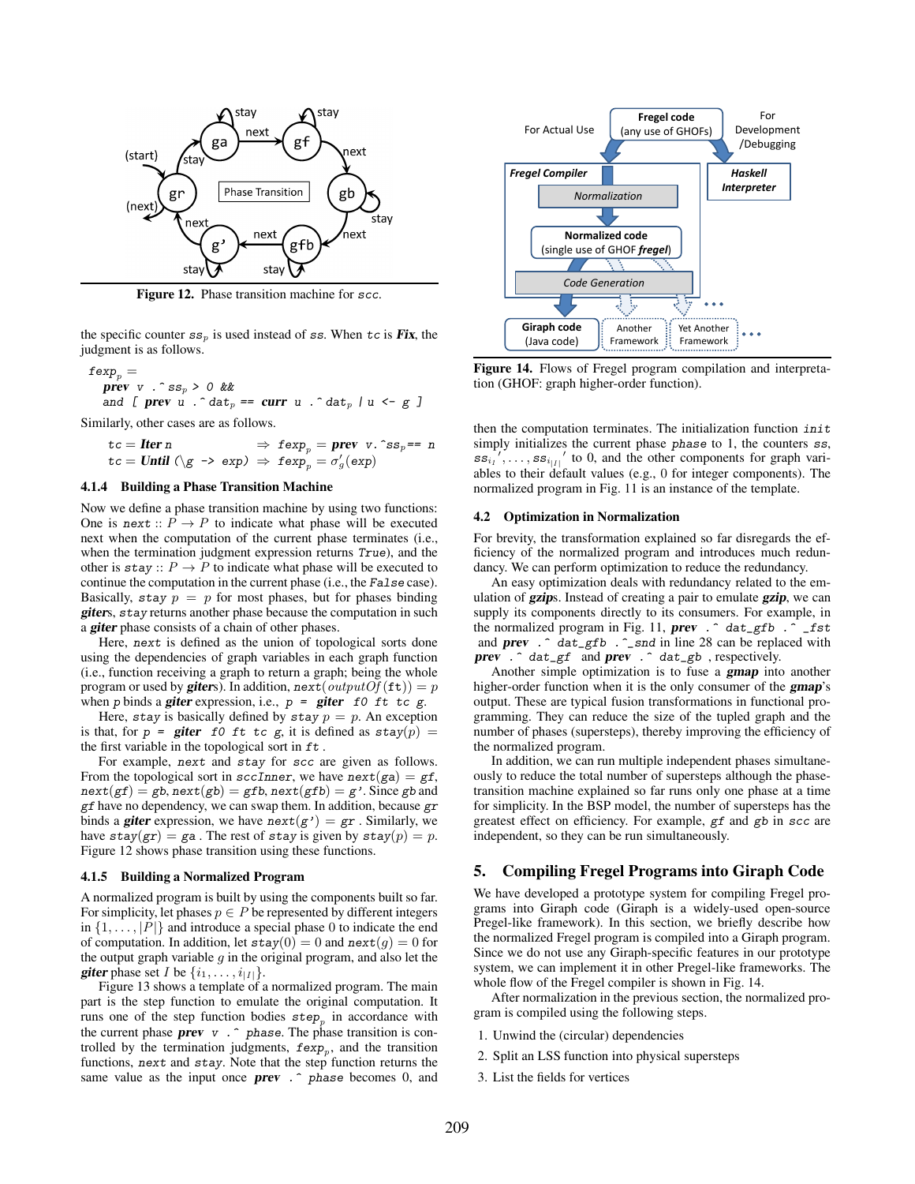

Figure 12. Phase transition machine for *scc*.

the specific counter  $ss_p$  is used instead of *ss*. When *tc* is **Fix**, the judgment is as follows.

 $fexp_n =$ prev *v .^ ss*<sup>p</sup> *> 0 &&*

and [ prev  $u \cdot \hat{a}$  *dat<sub>p</sub>*  $=$  **curr**  $u \cdot \hat{a}$  *dat<sub>p</sub>*  $| u \leq g$  ] Similarly, other cases are as follows.

$$
\begin{array}{lcl}\ntc = \textbf{Iter}\ n & \Rightarrow & fexp_p = \textbf{prev} \ v. \text{``ss}_p == n \\
tc = \textbf{Until} \ (\text{``g \to exp)} \ \Rightarrow \ fexp_p = \sigma'_g(exp)\n\end{array}
$$

#### 4.1.4 Building a Phase Transition Machine

Now we define a phase transition machine by using two functions: One is  $next :: P \rightarrow P$  to indicate what phase will be executed next when the computation of the current phase terminates (i.e., when the termination judgment expression returns *True*), and the other is  $\text{stay} :: P \rightarrow P$  to indicate what phase will be executed to continue the computation in the current phase (i.e., the *False* case). Basically,  $stay p = p$  for most phases, but for phases binding giters, *stay* returns another phase because the computation in such a giter phase consists of a chain of other phases.

Here, *next* is defined as the union of topological sorts done using the dependencies of graph variables in each graph function (i.e., function receiving a graph to return a graph; being the whole program or used by **giters**). In addition,  $next(outputOf(\text{ft})) = p$ when *p* binds a giter expression, i.e., *p =* giter *f0 ft tc g*.

Here, *stay* is basically defined by  $stay p = p$ . An exception is that, for  $p =$  giter *f0* ft tc g, it is defined as  $stay(p) =$ the first variable in the topological sort in *ft* .

For example, *next* and *stay* for *scc* are given as follows. From the topological sort in  $scI$ *nner*, we have  $next(ga) = gf$ ,  $next(gf) = gb$ ,  $next(gb) = gfb$ ,  $next(gfb) = g'$ . Since *gb* and *gf* have no dependency, we can swap them. In addition, because *gr* binds a **giter** expression, we have  $next(g') = gr$ . Similarly, we have  $stay(gr) = ga$ . The rest of *stay* is given by  $stay(p) = p$ . Figure 12 shows phase transition using these functions.

#### 4.1.5 Building a Normalized Program

A normalized program is built by using the components built so far. For simplicity, let phases  $p \in P$  be represented by different integers in  $\{1, \ldots, |P|\}$  and introduce a special phase 0 to indicate the end of computation. In addition, let  $stay(0) = 0$  and  $next(q) = 0$  for the output graph variable  $g$  in the original program, and also let the **giter** phase set I be  $\{i_1, \ldots, i_{|I|}\}.$ 

Figure 13 shows a template of a normalized program. The main part is the step function to emulate the original computation. It runs one of the step function bodies  $step_p$  in accordance with the current phase prev *v .^ phase*. The phase transition is controlled by the termination judgments,  $f \exp_p$ , and the transition functions, *next* and *stay*. Note that the step function returns the same value as the input once prev *.^ phase* becomes 0, and



Figure 14. Flows of Fregel program compilation and interpretation (GHOF: graph higher-order function).

then the computation terminates. The initialization function *init* simply initializes the current phase *phase* to 1, the counters *ss*,  $ss_{i_1}^{\prime\prime},\ldots,ss_{i_{|I|}}^{\prime}$  to 0, and the other components for graph variables to their default values (e.g., 0 for integer components). The normalized program in Fig. 11 is an instance of the template.

#### 4.2 Optimization in Normalization

For brevity, the transformation explained so far disregards the efficiency of the normalized program and introduces much redundancy. We can perform optimization to reduce the redundancy.

An easy optimization deals with redundancy related to the emulation of gzips. Instead of creating a pair to emulate gzip, we can supply its components directly to its consumers. For example, in the normalized program in Fig. 11, prev *.^ dat\_gfb .^ \_fst* and **prev** . ^ dat\_gfb . ^\_snd in line 28 can be replaced with prev *.^ dat\_gf* and prev *.^ dat\_gb* , respectively.

Another simple optimization is to fuse a **gmap** into another higher-order function when it is the only consumer of the **gmap**'s output. These are typical fusion transformations in functional programming. They can reduce the size of the tupled graph and the number of phases (supersteps), thereby improving the efficiency of the normalized program.

In addition, we can run multiple independent phases simultaneously to reduce the total number of supersteps although the phasetransition machine explained so far runs only one phase at a time for simplicity. In the BSP model, the number of supersteps has the greatest effect on efficiency. For example, *gf* and *gb* in *scc* are independent, so they can be run simultaneously.

# 5. Compiling Fregel Programs into Giraph Code

We have developed a prototype system for compiling Fregel programs into Giraph code (Giraph is a widely-used open-source Pregel-like framework). In this section, we briefly describe how the normalized Fregel program is compiled into a Giraph program. Since we do not use any Giraph-specific features in our prototype system, we can implement it in other Pregel-like frameworks. The whole flow of the Fregel compiler is shown in Fig. 14.

After normalization in the previous section, the normalized program is compiled using the following steps.

- 1. Unwind the (circular) dependencies
- 2. Split an LSS function into physical supersteps
- 3. List the fields for vertices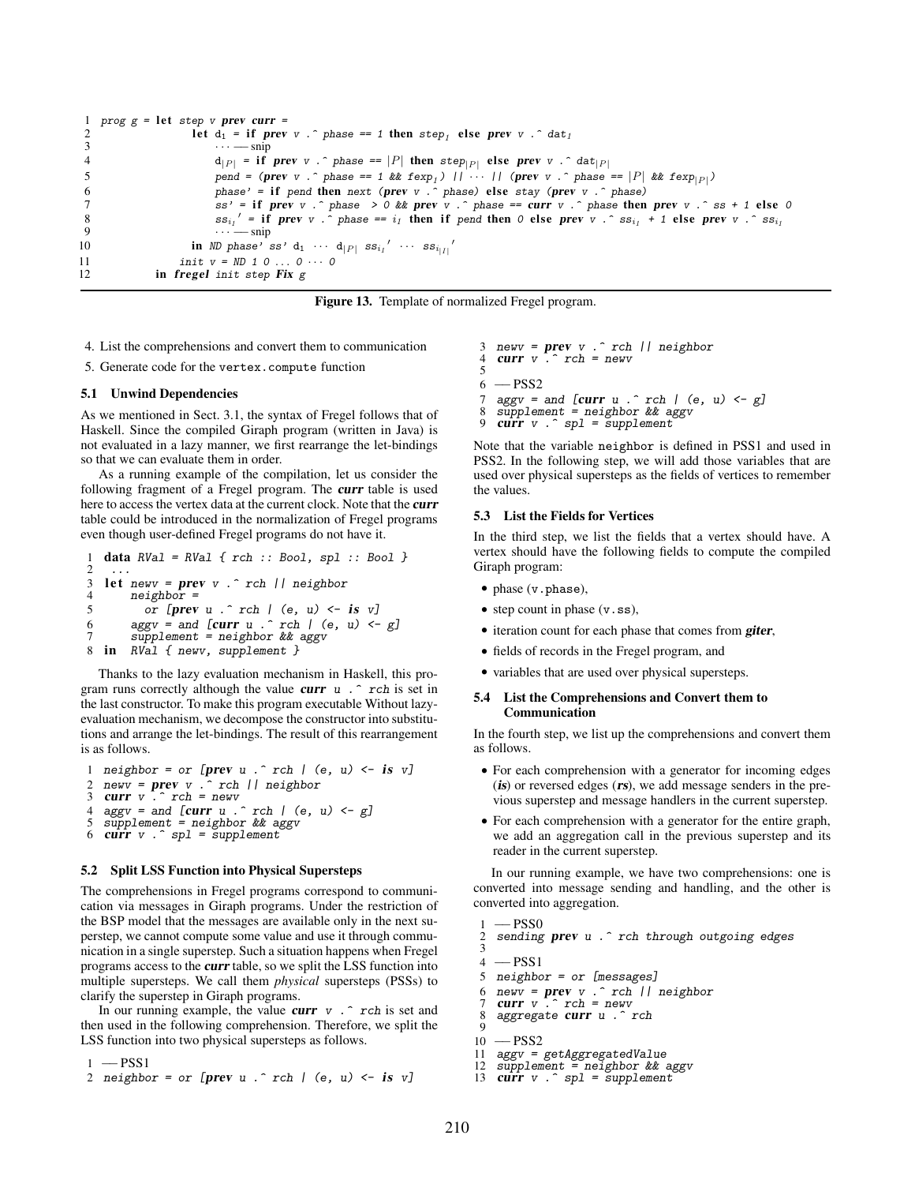```
1 prog g = let step v prev curr =
 2 let d_1 = if prev v .^ phase == 1 then step_1 else prev v .^ dat_13 \cdot \cdot \cdot = \sin \theta4 d<sub>|P|</sub> = if prev v .^ phase == |P| then step<sub>|P|</sub> else prev v .^ dat<sub>|P|</sub>
 5 pend = (prev v . \hat{p} phase == 1 && fexp<sub>1</sub>) || \cdots || (prev v . \hat{p} phase == |P| && fexp<sub>[P]</sub>)
6 phase' = if pend then next (prev v .^ phase) else stay (prev v .^ phase)<br>
ss' = if prev v .^ phase > 0 && prev v .^ phase == curr v .^ phase then
                           ss' = if prev v .^ phase > 0 && prev v .^ phase == curr v .^ phase then prev v .^ ss + 1 else 0
 8 ss_{i_1} = if prev v . \cap phase == i_1 then if pend then 0 else prev v . \cap ss<sub>i<sub>1</sub></sub> + 1 else prev v . \cap ss<sub>i<sub>1</sub></sub>
9 \cdots ---snip<br>10 \cdots in ND phase':
10 in ND phase' ss' d_1 \cdots d_{|P|} ss_{i_1}' \cdots ss_{i_{|I|}}'11 \text{init } v = \text{ND } 1 \text{ } 0 \text{ } \dots \text{ } 0 \cdots \text{ } 012 in fregel init step Fix g
```
Figure 13. Template of normalized Fregel program.

4. List the comprehensions and convert them to communication

5. Generate code for the vertex.compute function

## 5.1 Unwind Dependencies

As we mentioned in Sect. 3.1, the syntax of Fregel follows that of Haskell. Since the compiled Giraph program (written in Java) is not evaluated in a lazy manner, we first rearrange the let-bindings so that we can evaluate them in order.

As a running example of the compilation, let us consider the following fragment of a Fregel program. The curr table is used here to access the vertex data at the current clock. Note that the curr table could be introduced in the normalization of Fregel programs even though user-defined Fregel programs do not have it.

```
1 data RVal = RVal { rch :: Bool, spl :: Bool }
2 ...
3 let newv = prev v \cdot \hat{r} rch || neighbor<br>4 neighbor =
         4 neighbor =
5 or [prev u . \int rch | (e, u) \leftarrow is v]
6 \begin{array}{lll} \text{aggv} = \text{and} & \text{curr } u \quad \text{rch} \mid (e, u) <-g \end{array}<br>
7 supplement = neighbor && aggy
          7 supplement = neighbor && aggv
8 in RVal { newv, supplement }
```
Thanks to the lazy evaluation mechanism in Haskell, this program runs correctly although the value curr *u .^ rch* is set in the last constructor. To make this program executable Without lazyevaluation mechanism, we decompose the constructor into substitutions and arrange the let-bindings. The result of this rearrangement is as follows.

```
1 neighbor = or [prev u . \hat{r} rch | (e, u) \hat{r} is v]
2 newv = prev v .^ rch || neighbor
3 curr v .^ rch = newv
4 aggv = and [curr u .^ rch | (e, u) <- g]
5 supplement = neighbor && aggv
6 curr v .^ spl = supplement
```
## 5.2 Split LSS Function into Physical Supersteps

The comprehensions in Fregel programs correspond to communication via messages in Giraph programs. Under the restriction of the BSP model that the messages are available only in the next superstep, we cannot compute some value and use it through communication in a single superstep. Such a situation happens when Fregel programs access to the curr table, so we split the LSS function into multiple supersteps. We call them *physical* supersteps (PSSs) to clarify the superstep in Giraph programs.

In our running example, the value curr *v .^ rch* is set and then used in the following comprehension. Therefore, we split the LSS function into two physical supersteps as follows.

 $1$   $-$  PSS1 2 *neighbor = or [prev u .*  $rch$  | (e, u) <- is v]

```
3 newv = prev v .^ rch || neighbor
  curr v \cdot^{\hat{}} rch = newv
5
6 - PSS27 aggv = and [curr u .^ rch | (e, u) <- g]
8 supplement = neighbor && aggv
9 curr v .^ spl = supplement
```
Note that the variable neighbor is defined in PSS1 and used in PSS2. In the following step, we will add those variables that are used over physical supersteps as the fields of vertices to remember the values.

#### 5.3 List the Fields for Vertices

In the third step, we list the fields that a vertex should have. A vertex should have the following fields to compute the compiled Giraph program:

- phase (v.phase),
- step count in phase  $(v, ss)$ ,
- iteration count for each phase that comes from giter,
- fields of records in the Fregel program, and
- variables that are used over physical supersteps.

## 5.4 List the Comprehensions and Convert them to Communication

In the fourth step, we list up the comprehensions and convert them as follows.

- For each comprehension with a generator for incoming edges  **or reversed edges**  $**(rs)**$ **, we add message senders in the pre**vious superstep and message handlers in the current superstep.
- For each comprehension with a generator for the entire graph, we add an aggregation call in the previous superstep and its reader in the current superstep.

In our running example, we have two comprehensions: one is converted into message sending and handling, and the other is converted into aggregation.

```
\frac{1}{2} = PSS0<br>2 sending
  2 sending prev u .^ rch through outgoing edges
3
4 -PSS1
5 neighbor = or [messages]
6 newv = prev v .^ rch || neighbor
 7 curr v .^ rch = newv
 8 aggregate curr u .^ rch
9
10 - PSS211 aggv = getAggregatedValue
  12 supplement = neighbor && aggv
13 curr v .^ spl = supplement
```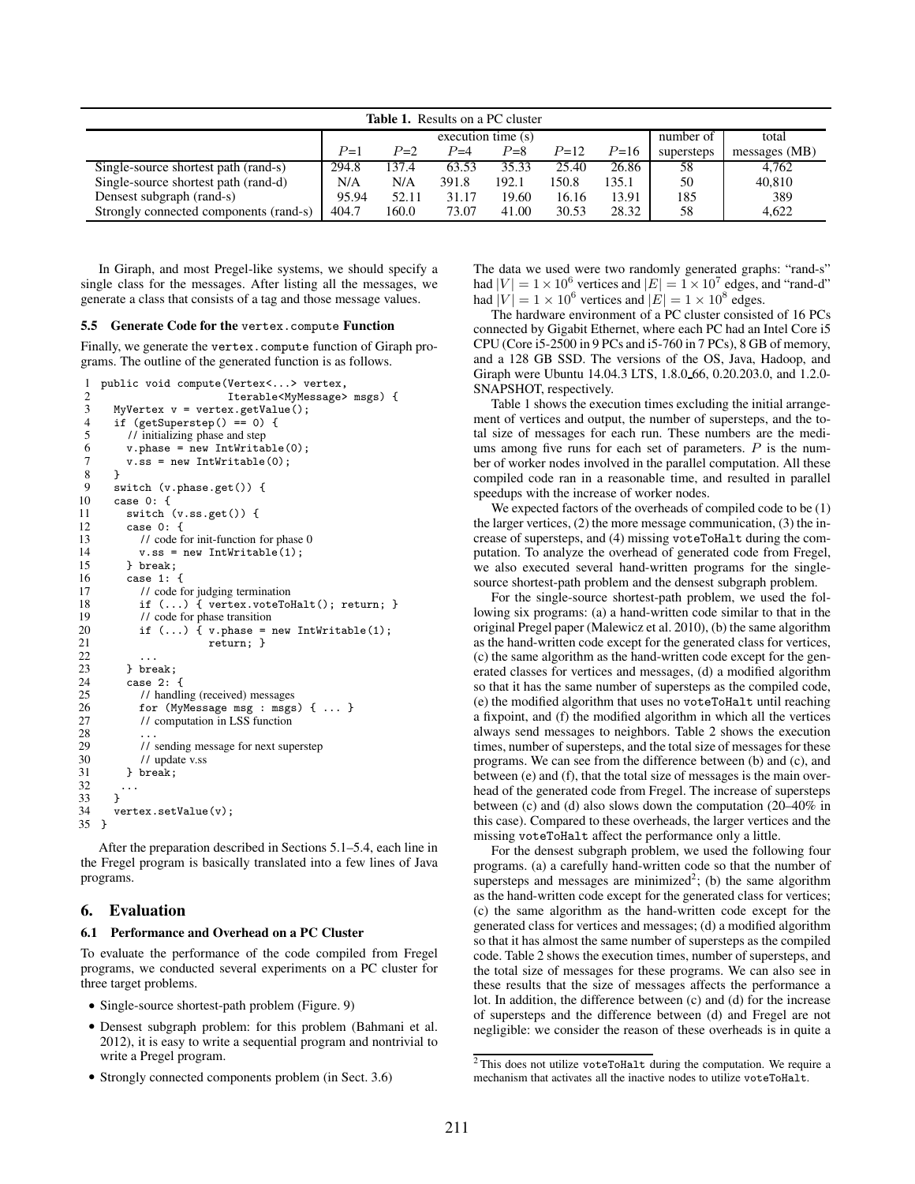| <b>Table 1.</b> Results on a PC cluster |                    |       |       |       |           |        |            |               |
|-----------------------------------------|--------------------|-------|-------|-------|-----------|--------|------------|---------------|
|                                         | execution time (s) |       |       |       | number of | total  |            |               |
|                                         | $P=1$              | $P=2$ | $P=4$ | $P=8$ | $P=12$    | $P=16$ | supersteps | messages (MB) |
| Single-source shortest path (rand-s)    | 294.8              | 137.4 | 63.53 | 35.33 | 25.40     | 26.86  | 58         | 4.762         |
| Single-source shortest path (rand-d)    | N/A                | N/A   | 391.8 | 192.1 | 150.8     | 135.1  | 50         | 40,810        |
| Densest subgraph (rand-s)               | 95.94              | 52.11 | 31.17 | 19.60 | 16.16     | 13.91  | 185        | 389           |
| Strongly connected components (rand-s)  | 404.7              | 160.0 | 73.07 | 41.00 | 30.53     | 28.32  | 58         | 4,622         |

In Giraph, and most Pregel-like systems, we should specify a single class for the messages. After listing all the messages, we generate a class that consists of a tag and those message values.

#### 5.5 Generate Code for the vertex.compute Function

Finally, we generate the vertex.compute function of Giraph programs. The outline of the generated function is as follows.

```
1 public void compute(Vertex<...> vertex,
 2 			Iterable<MyMessage> msgs) {<br>3 		MyVertex v = vertex.getValue();
 3 MyVertex v = vertex.getValue();<br>4 if (getSuperstep() == 0) {
 4 if (getSuperstep() == 0) {<br>5 // initializing phase and step
           // initializing phase and step
 6 v.phase = new IntWritable(0);
 7 \t v.ss = new IntWriteble(0);<br>8
 \begin{matrix} 8 \\ 9 \end{matrix}9 switch (v.phase.get()) {<br>10 case 0: {
10 case 0: {<br>11 switch (
           switch (v.ss.get()) {
12 case 0: {<br>13 // code f
13 // code for init-function for phase 0<br>14 v.ss = new IntWritable(1):
              v.ss = new IntWriteble(1);15 } break;
16 case 1: {<br>17 // code 1
17 // code for judging termination<br>18 if (...) { vertex.voteTol
18 if (...) { vertex.voteToHalt(); return; }<br>19 // code for phase transition
19 // code for phase transition<br>20 if (\dots) { v. phase = 1
20 if (...) { v.phase = new IntWritable(1);<br>21 return; }
21 return; }<br>22 \ldots22 ...<br>23 } bre
23 } break;<br>24 case 2:
24 case 2: {<br>25 // handli
              // handling (received) messages
26 for (MyMessage msg : msgs) { ... }<br>27 // computation in LSS function
              27 / / computation in LSS function
28<br>29
29 \frac{1}{2} // sending message for next superstep<br>30 \frac{1}{2} undate y ss
30 / / update v.ss
           31 } break;
32
33 }<br>34 y
    vertex.setValue(v);
35 }
```
After the preparation described in Sections 5.1–5.4, each line in the Fregel program is basically translated into a few lines of Java programs.

## 6. Evaluation

#### 6.1 Performance and Overhead on a PC Cluster

To evaluate the performance of the code compiled from Fregel programs, we conducted several experiments on a PC cluster for three target problems.

- Single-source shortest-path problem (Figure. 9)
- Densest subgraph problem: for this problem (Bahmani et al. 2012), it is easy to write a sequential program and nontrivial to write a Pregel program.
- Strongly connected components problem (in Sect. 3.6)

The data we used were two randomly generated graphs: "rand-s" had  $|V| = 1 \times 10^6$  vertices and  $|E| = 1 \times 10^7$  edges, and "rand-d" had  $|V| = 1 \times 10^6$  vertices and  $|E| = 1 \times 10^8$  edges.

The hardware environment of a PC cluster consisted of 16 PCs connected by Gigabit Ethernet, where each PC had an Intel Core i5 CPU (Core i5-2500 in 9 PCs and i5-760 in 7 PCs), 8 GB of memory, and a 128 GB SSD. The versions of the OS, Java, Hadoop, and Giraph were Ubuntu 14.04.3 LTS, 1.8.0 66, 0.20.203.0, and 1.2.0- SNAPSHOT, respectively.

Table 1 shows the execution times excluding the initial arrangement of vertices and output, the number of supersteps, and the total size of messages for each run. These numbers are the mediums among five runs for each set of parameters.  $P$  is the number of worker nodes involved in the parallel computation. All these compiled code ran in a reasonable time, and resulted in parallel speedups with the increase of worker nodes.

We expected factors of the overheads of compiled code to be (1) the larger vertices, (2) the more message communication, (3) the increase of supersteps, and (4) missing voteToHalt during the computation. To analyze the overhead of generated code from Fregel, we also executed several hand-written programs for the singlesource shortest-path problem and the densest subgraph problem.

For the single-source shortest-path problem, we used the following six programs: (a) a hand-written code similar to that in the original Pregel paper (Malewicz et al. 2010), (b) the same algorithm as the hand-written code except for the generated class for vertices, (c) the same algorithm as the hand-written code except for the generated classes for vertices and messages, (d) a modified algorithm so that it has the same number of supersteps as the compiled code, (e) the modified algorithm that uses no voteToHalt until reaching a fixpoint, and (f) the modified algorithm in which all the vertices always send messages to neighbors. Table 2 shows the execution times, number of supersteps, and the total size of messages for these programs. We can see from the difference between (b) and (c), and between (e) and (f), that the total size of messages is the main overhead of the generated code from Fregel. The increase of supersteps between (c) and (d) also slows down the computation (20–40% in this case). Compared to these overheads, the larger vertices and the missing voteToHalt affect the performance only a little.

For the densest subgraph problem, we used the following four programs. (a) a carefully hand-written code so that the number of supersteps and messages are minimized<sup>2</sup>; (b) the same algorithm as the hand-written code except for the generated class for vertices; (c) the same algorithm as the hand-written code except for the generated class for vertices and messages; (d) a modified algorithm so that it has almost the same number of supersteps as the compiled code. Table 2 shows the execution times, number of supersteps, and the total size of messages for these programs. We can also see in these results that the size of messages affects the performance a lot. In addition, the difference between (c) and (d) for the increase of supersteps and the difference between (d) and Fregel are not negligible: we consider the reason of these overheads is in quite a

 $2$ This does not utilize voteToHalt during the computation. We require a mechanism that activates all the inactive nodes to utilize voteToHalt.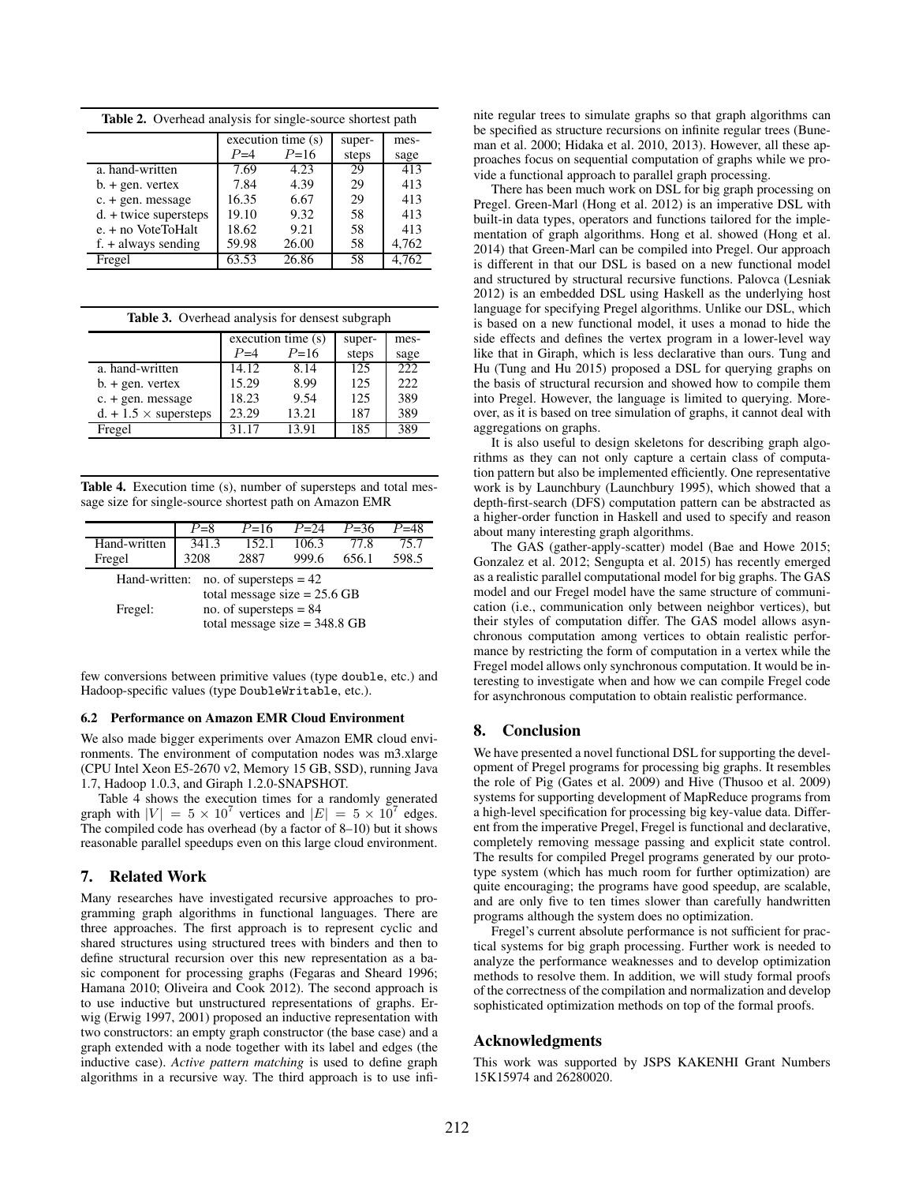| <b>Table 2.</b> Overhead analysis for single-source shortest path |       |                    |        |       |  |  |  |
|-------------------------------------------------------------------|-------|--------------------|--------|-------|--|--|--|
|                                                                   |       | execution time (s) | super- | mes-  |  |  |  |
|                                                                   | $P=4$ | $P=16$             | steps  | sage  |  |  |  |
| a. hand-written                                                   | 7.69  | 4.23               | 29     | 413   |  |  |  |
| $b. + gen.$ vertex                                                | 7.84  | 4.39               | 29     | 413   |  |  |  |
| $c. + gen. message$                                               | 16.35 | 6.67               | 29     | 413   |  |  |  |
| d. + twice supersteps                                             | 19.10 | 9.32               | 58     | 413   |  |  |  |
| e. + no VoteToHalt                                                | 18.62 | 9.21               | 58     | 413   |  |  |  |
| $f_{\rm t}$ + always sending                                      | 59.98 | 26.00              | 58     | 4,762 |  |  |  |
| Fregel                                                            | 63.53 | 26.86              | 58     | 4.762 |  |  |  |

| <b>Table 3.</b> Overhead analysis for densest subgraph |       |                    |        |      |  |  |  |
|--------------------------------------------------------|-------|--------------------|--------|------|--|--|--|
|                                                        |       | execution time (s) | super- | mes- |  |  |  |
|                                                        | $P=4$ | $P=16$             | steps  | sage |  |  |  |
| a. hand-written                                        | 14.12 | 8.14               | 125    | 222  |  |  |  |
| $b. + gen.$ vertex                                     | 15.29 | 8.99               | 125    | 222  |  |  |  |
| $c. + gen. message$                                    | 18.23 | 9.54               | 125    | 389  |  |  |  |
| d. $+1.5 \times$ supersteps                            | 23.29 | 13.21              | 187    | 389  |  |  |  |
| Fregel                                                 | 31.17 | 13 91              | 185    | 389  |  |  |  |

Table 4. Execution time (s), number of supersteps and total message size for single-source shortest path on Amazon EMR

| $P = 8$                                                                                                                   | $P=16$ | $P = 24$ | $P = 36$ | $P = 48$                        |  |  |  |  |
|---------------------------------------------------------------------------------------------------------------------------|--------|----------|----------|---------------------------------|--|--|--|--|
| 341.3                                                                                                                     | 152.1  | 106.3    | 77.8     | 75.7                            |  |  |  |  |
| 3208                                                                                                                      | 2887   | 999.6    | 656.1    | 598.5                           |  |  |  |  |
| Fregel<br>Hand-written: no. of supersteps $= 42$<br>total message size $= 25.6$ GB<br>no. of supersteps $= 84$<br>Fregel: |        |          |          |                                 |  |  |  |  |
|                                                                                                                           |        |          |          |                                 |  |  |  |  |
|                                                                                                                           |        |          |          | total message size $=$ 348.8 GB |  |  |  |  |

few conversions between primitive values (type double, etc.) and Hadoop-specific values (type DoubleWritable, etc.).

### 6.2 Performance on Amazon EMR Cloud Environment

We also made bigger experiments over Amazon EMR cloud environments. The environment of computation nodes was m3.xlarge (CPU Intel Xeon E5-2670 v2, Memory 15 GB, SSD), running Java 1.7, Hadoop 1.0.3, and Giraph 1.2.0-SNAPSHOT.

Table 4 shows the execution times for a randomly generated graph with  $|V| = 5 \times 10^7$  vertices and  $|E| = 5 \times 10^7$  edges. The compiled code has overhead (by a factor of 8–10) but it shows reasonable parallel speedups even on this large cloud environment.

## 7. Related Work

Many researches have investigated recursive approaches to programming graph algorithms in functional languages. There are three approaches. The first approach is to represent cyclic and shared structures using structured trees with binders and then to define structural recursion over this new representation as a basic component for processing graphs (Fegaras and Sheard 1996; Hamana 2010; Oliveira and Cook 2012). The second approach is to use inductive but unstructured representations of graphs. Erwig (Erwig 1997, 2001) proposed an inductive representation with two constructors: an empty graph constructor (the base case) and a graph extended with a node together with its label and edges (the inductive case). *Active pattern matching* is used to define graph algorithms in a recursive way. The third approach is to use infinite regular trees to simulate graphs so that graph algorithms can be specified as structure recursions on infinite regular trees (Buneman et al. 2000; Hidaka et al. 2010, 2013). However, all these approaches focus on sequential computation of graphs while we provide a functional approach to parallel graph processing.

There has been much work on DSL for big graph processing on Pregel. Green-Marl (Hong et al. 2012) is an imperative DSL with built-in data types, operators and functions tailored for the implementation of graph algorithms. Hong et al. showed (Hong et al. 2014) that Green-Marl can be compiled into Pregel. Our approach is different in that our DSL is based on a new functional model and structured by structural recursive functions. Palovca (Lesniak 2012) is an embedded DSL using Haskell as the underlying host language for specifying Pregel algorithms. Unlike our DSL, which is based on a new functional model, it uses a monad to hide the side effects and defines the vertex program in a lower-level way like that in Giraph, which is less declarative than ours. Tung and Hu (Tung and Hu 2015) proposed a DSL for querying graphs on the basis of structural recursion and showed how to compile them into Pregel. However, the language is limited to querying. Moreover, as it is based on tree simulation of graphs, it cannot deal with aggregations on graphs.

It is also useful to design skeletons for describing graph algorithms as they can not only capture a certain class of computation pattern but also be implemented efficiently. One representative work is by Launchbury (Launchbury 1995), which showed that a depth-first-search (DFS) computation pattern can be abstracted as a higher-order function in Haskell and used to specify and reason about many interesting graph algorithms.

The GAS (gather-apply-scatter) model (Bae and Howe 2015; Gonzalez et al. 2012; Sengupta et al. 2015) has recently emerged as a realistic parallel computational model for big graphs. The GAS model and our Fregel model have the same structure of communication (i.e., communication only between neighbor vertices), but their styles of computation differ. The GAS model allows asynchronous computation among vertices to obtain realistic performance by restricting the form of computation in a vertex while the Fregel model allows only synchronous computation. It would be interesting to investigate when and how we can compile Fregel code for asynchronous computation to obtain realistic performance.

## 8. Conclusion

We have presented a novel functional DSL for supporting the development of Pregel programs for processing big graphs. It resembles the role of Pig (Gates et al. 2009) and Hive (Thusoo et al. 2009) systems for supporting development of MapReduce programs from a high-level specification for processing big key-value data. Different from the imperative Pregel, Fregel is functional and declarative, completely removing message passing and explicit state control. The results for compiled Pregel programs generated by our prototype system (which has much room for further optimization) are quite encouraging; the programs have good speedup, are scalable, and are only five to ten times slower than carefully handwritten programs although the system does no optimization.

Fregel's current absolute performance is not sufficient for practical systems for big graph processing. Further work is needed to analyze the performance weaknesses and to develop optimization methods to resolve them. In addition, we will study formal proofs of the correctness of the compilation and normalization and develop sophisticated optimization methods on top of the formal proofs.

## Acknowledgments

This work was supported by JSPS KAKENHI Grant Numbers 15K15974 and 26280020.